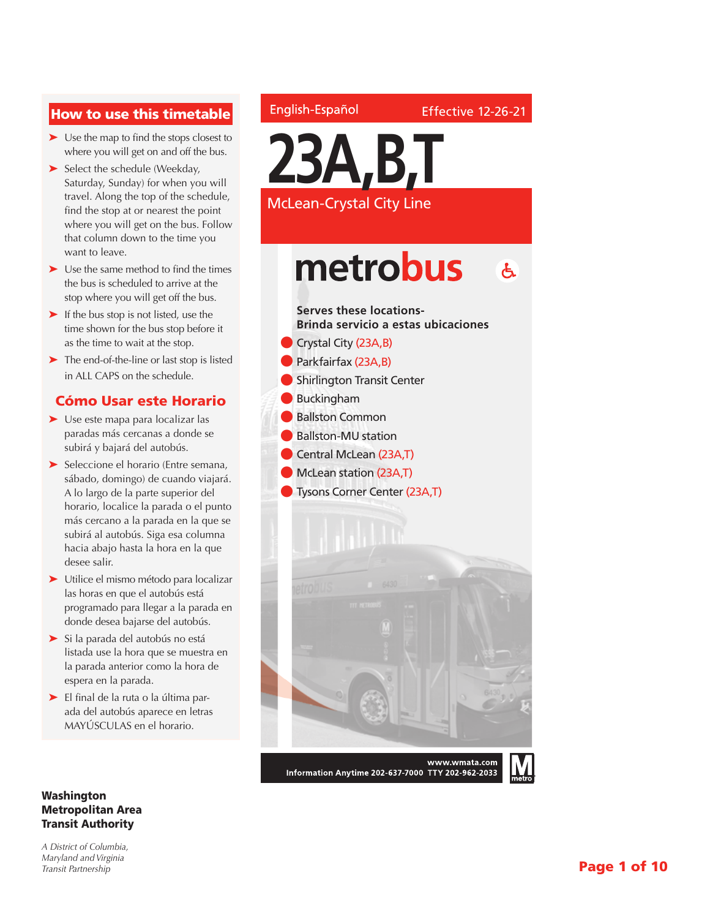### How to use this timetable

- ➤ Use the map to find the stops closest to where you will get on and off the bus.
- ► Select the schedule (Weekday, Saturday, Sunday) for when you will travel. Along the top of the schedule, find the stop at or nearest the point where you will get on the bus. Follow that column down to the time you want to leave.
- ➤ Use the same method to find the times the bus is scheduled to arrive at the stop where you will get off the bus.
- ➤ If the bus stop is not listed, use the time shown for the bus stop before it as the time to wait at the stop.
- ➤ The end-of-the-line or last stop is listed in ALL CAPS on the schedule.

### Cómo Usar este Horario

- ➤ Use este mapa para localizar las paradas más cercanas a donde se subirá y bajará del autobús.
- ➤ Seleccione el horario (Entre semana, sábado, domingo) de cuando viajará. A lo largo de la parte superior del horario, localice la parada o el punto más cercano a la parada en la que se subirá al autobús. Siga esa columna hacia abajo hasta la hora en la que desee salir.
- ➤ Utilice el mismo método para localizar las horas en que el autobús está programado para llegar a la parada en donde desea bajarse del autobús.
- ➤ Si la parada del autobús no está listada use la hora que se muestra en la parada anterior como la hora de espera en la parada.
- ➤ El final de la ruta o la última parada del autobús aparece en letras MAYÚSCULAS en el horario.

#### Washington Metropolitan Area Transit Authority

*A District of Columbia, Maryland and Virginia Transit Partnership*

### English-Español



**23A,B,T**

McLean-Crystal City Line

**Serves these locations-**

### metrobus  $\mathbf{A}$

# **Brinda servicio a estas ubicaciones** Crystal City (23A,B) Parkfairfax (23A,B) l Shirlington Transit Center l Buckingham **Ballston Common** l Ballston-MU station Central McLean (23A,T) **McLean station (23A,T) J** Tysons Corner Center (23A,T) www.wmata.com

Information Anytime 202-637-7000 TTY 202-962-2033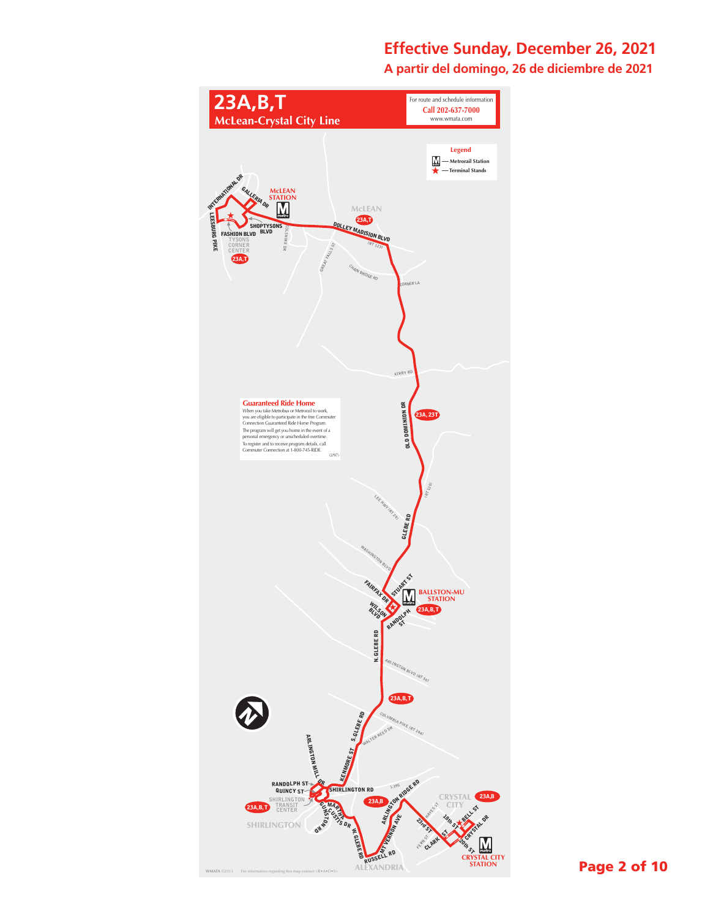### **Effective Sunday, December 26, 2021**

**A partir del domingo, 26 de diciembre de 2021**

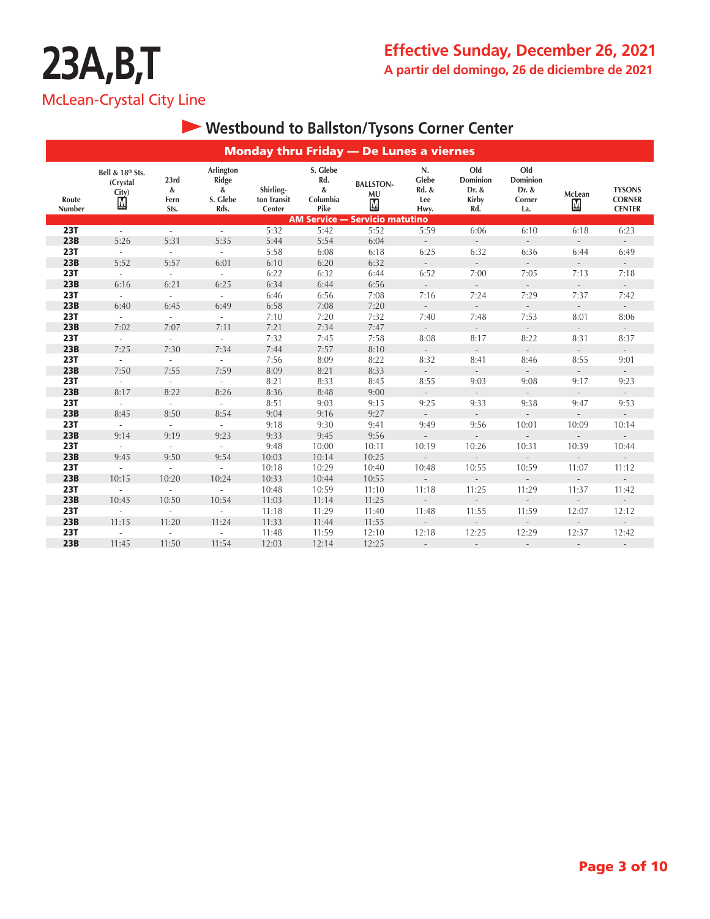## **Westbound to Ballston/Tysons Corner Center**

|                 | <b>Monday thru Friday - De Lunes a viernes</b>                      |                           |                                                    |                                    |                                             |                                                          |                                     |                                                 |                                           |                                   |                                                 |  |  |  |
|-----------------|---------------------------------------------------------------------|---------------------------|----------------------------------------------------|------------------------------------|---------------------------------------------|----------------------------------------------------------|-------------------------------------|-------------------------------------------------|-------------------------------------------|-----------------------------------|-------------------------------------------------|--|--|--|
| Route<br>Number | Bell & 18th Sts.<br>(Crystal<br>$\overset{\text{City}}{\mathbb{L}}$ | 23rd<br>&<br>Fern<br>Sts. | Arlington<br><b>Ridge</b><br>&<br>S. Glebe<br>Rds. | Shirling-<br>ton Transit<br>Center | S. Glebe<br>Rd.<br>$\&$<br>Columbia<br>Pike | <b>BALLSTON-</b><br><b>MU</b><br>$\overline{\mathbf{M}}$ | N.<br>Glebe<br>Rd. &<br>Lee<br>Hwy. | Old<br>Dominion<br>Dr. &<br><b>Kirby</b><br>Rd. | Old<br>Dominion<br>Dr. &<br>Corner<br>La. | McLean<br>$\overline{\mathbf{M}}$ | <b>TYSONS</b><br><b>CORNER</b><br><b>CENTER</b> |  |  |  |
|                 |                                                                     |                           |                                                    |                                    |                                             | <b>AM Service - Servicio matutino</b>                    |                                     |                                                 |                                           |                                   |                                                 |  |  |  |
| <b>23T</b>      | $\overline{\phantom{a}}$                                            | $\overline{\phantom{a}}$  | $\sim$                                             | 5:32                               | 5:42                                        | 5:52                                                     | 5:59                                | 6:06                                            | 6:10                                      | 6:18                              | 6:23                                            |  |  |  |
| 23B             | 5:26                                                                | 5:31                      | 5:35                                               | 5:44                               | 5:54                                        | 6:04                                                     | $\sim$                              | $\overline{\phantom{a}}$                        | $\mathcal{L}_{\mathcal{A}}$               | $\overline{\phantom{a}}$          | $\mathbb{Z}^{\times}$                           |  |  |  |
| <b>23T</b>      | $\overline{\phantom{a}}$                                            | $\overline{\phantom{a}}$  | $\sim$                                             | 5:58                               | 6:08                                        | 6:18                                                     | 6:25                                | 6:32                                            | 6:36                                      | 6:44                              | 6:49                                            |  |  |  |
| 23B             | 5:52                                                                | 5:57                      | 6:01                                               | 6:10                               | 6:20                                        | 6:32                                                     | $\sim$                              | $\overline{\phantom{a}}$                        | $\bar{a}$                                 | $\overline{\phantom{a}}$          | $\overline{\phantom{a}}$                        |  |  |  |
| <b>23T</b>      | $\mathcal{L}$                                                       | $\sim$                    | $\sim$                                             | 6:22                               | 6:32                                        | 6:44                                                     | 6:52                                | 7:00                                            | 7:05                                      | 7:13                              | 7:18                                            |  |  |  |
| 23B             | 6:16                                                                | 6:21                      | 6:25                                               | 6:34                               | 6:44                                        | 6:56                                                     | $\sim$                              | $\overline{\phantom{a}}$                        | $\sim$                                    | $\overline{\phantom{a}}$          | ÷.                                              |  |  |  |
| <b>23T</b>      | ÷.                                                                  | $\sim$                    | $\sim$                                             | 6:46                               | 6:56                                        | 7:08                                                     | 7:16                                | 7:24                                            | 7:29                                      | 7:37                              | 7:42                                            |  |  |  |
| 23B             | 6:40                                                                | 6:45                      | 6:49                                               | 6:58                               | 7:08                                        | 7:20                                                     | $\sim$                              | $\overline{\phantom{a}}$                        | $\overline{\phantom{a}}$                  | $\overline{\phantom{a}}$          | ÷.                                              |  |  |  |
| <b>23T</b>      | ÷.                                                                  | $\sim$                    | $\sim$                                             | 7:10                               | 7:20                                        | 7:32                                                     | 7:40                                | 7:48                                            | 7:53                                      | 8:01                              | 8:06                                            |  |  |  |
| 23B             | 7:02                                                                | 7:07                      | 7:11                                               | 7:21                               | 7:34                                        | 7:47                                                     | $\sim$                              | $\overline{\phantom{a}}$                        | $\mathcal{L}_{\mathcal{A}}$               | $\overline{\phantom{a}}$          | $\overline{\phantom{a}}$                        |  |  |  |
| <b>23T</b>      | ÷.                                                                  | $\sim$                    | $\sim$                                             | 7:32                               | 7:45                                        | 7:58                                                     | 8:08                                | 8:17                                            | 8:22                                      | 8:31                              | 8:37                                            |  |  |  |
| 23B             | 7:25                                                                | 7:30                      | 7:34                                               | 7:44                               | 7:57                                        | 8:10                                                     | $\sim$                              | $\overline{\phantom{a}}$                        | $\overline{\phantom{a}}$                  | $\overline{\phantom{a}}$          | $\sim$                                          |  |  |  |
| <b>23T</b>      | ÷.                                                                  | $\sim$                    | $\sim$                                             | 7:56                               | 8:09                                        | 8:22                                                     | 8:32                                | 8:41                                            | 8:46                                      | 8:55                              | 9:01                                            |  |  |  |
| 23B             | 7:50                                                                | 7:55                      | 7:59                                               | 8:09                               | 8:21                                        | 8:33                                                     | $\sim$                              | $\mathcal{L}$                                   | $\mathcal{L}$                             | $\overline{\phantom{a}}$          | $\mathcal{L}$                                   |  |  |  |
| <b>23T</b>      | ä,                                                                  | $\sim$                    | $\sim$                                             | 8:21                               | 8:33                                        | 8:45                                                     | 8:55                                | 9:03                                            | 9:08                                      | 9:17                              | 9:23                                            |  |  |  |
| 23B             | 8:17                                                                | 8:22                      | 8:26                                               | 8:36                               | 8:48                                        | 9:00                                                     | $\sim$                              | $\mathcal{L}^{\mathcal{L}}$                     | $\mathcal{L}_{\mathcal{A}}$               | $\overline{\phantom{a}}$          | $\mathcal{L}$                                   |  |  |  |
| <b>23T</b>      | ÷.                                                                  | $\sim$                    | $\sim$                                             | 8:51                               | 9:03                                        | 9:15                                                     | 9:25                                | 9:33                                            | 9:38                                      | 9:47                              | 9:53                                            |  |  |  |
| 23B             | 8:45                                                                | 8:50                      | 8:54                                               | 9:04                               | 9:16                                        | 9:27                                                     | $\sim$                              | $\mathcal{L}$                                   | $\overline{\phantom{a}}$                  | $\overline{\phantom{a}}$          | $\mathcal{L}$                                   |  |  |  |
| <b>23T</b>      | ÷.                                                                  | $\sim$                    | $\sim$                                             | 9:18                               | 9:30                                        | 9:41                                                     | 9:49                                | 9:56                                            | 10:01                                     | 10:09                             | 10:14                                           |  |  |  |
| 23B             | 9:14                                                                | 9:19                      | 9:23                                               | 9:33                               | 9:45                                        | 9:56                                                     | $\blacksquare$                      | $\mathcal{L}$                                   | $\overline{\phantom{a}}$                  | $\overline{\phantom{a}}$          | $\overline{\phantom{a}}$                        |  |  |  |
| <b>23T</b>      | ÷.                                                                  | $\sim$                    | $\sim$                                             | 9:48                               | 10:00                                       | 10:11                                                    | 10:19                               | 10:26                                           | 10:31                                     | 10:39                             | 10:44                                           |  |  |  |
| 23B             | 9:45                                                                | 9:50                      | 9:54                                               | 10:03                              | 10:14                                       | 10:25                                                    | $\blacksquare$                      | $\overline{\phantom{a}}$                        | $\overline{\phantom{a}}$                  | $\overline{\phantom{a}}$          | $\overline{\phantom{a}}$                        |  |  |  |
| <b>23T</b>      | ÷.                                                                  | $\sim$                    | $\sim$                                             | 10:18                              | 10:29                                       | 10:40                                                    | 10:48                               | 10:55                                           | 10:59                                     | 11:07                             | 11:12                                           |  |  |  |
| 23B             | 10:15                                                               | 10:20                     | 10:24                                              | 10:33                              | 10:44                                       | 10:55                                                    | $\overline{\phantom{a}}$            |                                                 | $\overline{a}$                            | $\overline{\phantom{a}}$          | $\overline{a}$                                  |  |  |  |
| <b>23T</b>      | ÷.                                                                  | $\overline{\phantom{a}}$  | $\sim$                                             | 10:48                              | 10:59                                       | 11:10                                                    | 11:18                               | 11:25                                           | 11:29                                     | 11:37                             | 11:42                                           |  |  |  |
| 23B             | 10:45                                                               | 10:50                     | 10:54                                              | 11:03                              | 11:14                                       | 11:25                                                    | $\overline{\phantom{a}}$            |                                                 | $\overline{\phantom{a}}$                  | $\overline{\phantom{a}}$          | $\overline{\phantom{a}}$                        |  |  |  |
| <b>23T</b>      | $\bar{\phantom{a}}$                                                 | $\overline{\phantom{a}}$  | $\sim$                                             | 11:18                              | 11:29                                       | 11:40                                                    | 11:48                               | 11:55                                           | 11:59                                     | 12:07                             | 12:12                                           |  |  |  |
| 23B             | 11:15                                                               | 11:20                     | 11:24                                              | 11:33                              | 11:44                                       | 11:55                                                    | $\sim$                              | $\overline{\phantom{a}}$                        | $\bar{a}$                                 | $\overline{\phantom{a}}$          | $\overline{\phantom{a}}$                        |  |  |  |
| <b>23T</b>      | $\mathcal{L}_{\mathcal{A}}$                                         | $\sim$                    | $\sim$                                             | 11:48                              | 11:59                                       | 12:10                                                    | 12:18                               | 12:25                                           | 12:29                                     | 12:37                             | 12:42                                           |  |  |  |
| 23B             | 11:45                                                               | 11:50                     | 11:54                                              | 12:03                              | 12:14                                       | 12:25                                                    | $\overline{\phantom{a}}$            | $\overline{\phantom{a}}$                        | $\overline{\phantom{a}}$                  | $\overline{\phantom{a}}$          | $\overline{\phantom{a}}$                        |  |  |  |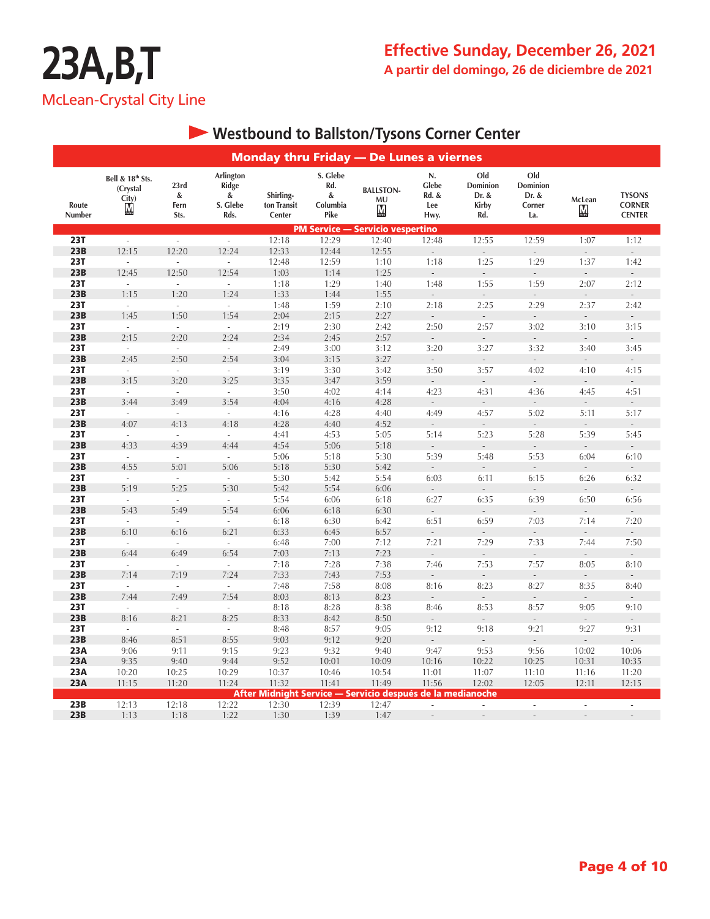### **Effective Sunday, December 26, 2021 A partir del domingo, 26 de diciembre de 2021**

|                   | <b>Monday thru Friday - De Lunes a viernes</b>        |                                   |                                             |                                    |                                          |                                                            |                                     |                                                 |                                                  |                                    |                                                 |  |  |  |
|-------------------|-------------------------------------------------------|-----------------------------------|---------------------------------------------|------------------------------------|------------------------------------------|------------------------------------------------------------|-------------------------------------|-------------------------------------------------|--------------------------------------------------|------------------------------------|-------------------------------------------------|--|--|--|
| Route<br>Number   | Bell & 18th Sts.<br>(Crystal<br>City)<br>$\mathbf{M}$ | 23rd<br>&<br>Fern<br>Sts.         | Arlington<br>Ridge<br>&<br>S. Glebe<br>Rds. | Shirling-<br>ton Transit<br>Center | S. Glebe<br>Rd.<br>&<br>Columbia<br>Pike | <b>BALLSTON-</b><br>MU<br>М                                | N.<br>Glebe<br>Rd. &<br>Lee<br>Hwy. | Old<br>Dominion<br>Dr. &<br><b>Kirby</b><br>Rd. | Old<br><b>Dominion</b><br>Dr. &<br>Corner<br>La. | McLean<br>$\underline{\mathbf{M}}$ | <b>TYSONS</b><br><b>CORNER</b><br><b>CENTER</b> |  |  |  |
|                   |                                                       |                                   |                                             |                                    | <b>PM Service -</b>                      | - Servicio vespertino                                      |                                     |                                                 |                                                  |                                    |                                                 |  |  |  |
| <b>23T</b>        | ä,                                                    | $\Box$                            | $\sim$                                      | 12:18                              | 12:29                                    | 12:40                                                      | 12:48                               | 12:55                                           | 12:59                                            | 1:07                               | 1:12                                            |  |  |  |
| 23B<br><b>23T</b> | 12:15<br>$\overline{\phantom{a}}$                     | 12:20<br>$\overline{\phantom{a}}$ | 12:24<br>$\mathcal{L}^{\pm}$                | 12:33<br>12:48                     | 12:44<br>12:59                           | 12:55<br>1:10                                              | $\overline{a}$<br>1:18              | $\overline{\phantom{a}}$<br>1:25                | $\overline{a}$<br>1:29                           | $\overline{a}$<br>1:37             | $\overline{\phantom{a}}$<br>1:42                |  |  |  |
| 23B               | 12:45                                                 | 12:50                             | 12:54                                       | 1:03                               | 1:14                                     | 1:25                                                       | $\sim$                              | $\sim$                                          | $\mathcal{L}^{\pm}$                              | $\mathcal{L}$                      | $\sim$                                          |  |  |  |
| <b>23T</b>        | $\sim$                                                | $\mathcal{L}$                     | $\sim$                                      | 1:18                               | 1:29                                     | 1:40                                                       | 1:48                                | 1:55                                            | 1:59                                             | 2:07                               | 2:12                                            |  |  |  |
| 23B               | 1:15                                                  | 1:20                              | 1:24                                        | 1:33                               | 1:44                                     | 1:55                                                       |                                     |                                                 |                                                  |                                    |                                                 |  |  |  |
| <b>23T</b>        | $\mathcal{L}$                                         | $\sim$                            | $\mathcal{L}_{\mathcal{A}}$                 | 1:48                               | 1:59                                     | 2:10                                                       | 2:18                                | 2:25                                            | 2:29                                             | 2:37                               | 2:42                                            |  |  |  |
| 23B               | 1:45                                                  | 1:50                              | 1:54                                        | 2:04                               | 2:15                                     | 2:27                                                       | $\mathcal{L}_{\mathcal{A}}$         | $\Box$                                          | $\mathbb{Z}^2$                                   | $\Box$                             |                                                 |  |  |  |
| <b>23T</b>        | $\sim$                                                | $\sim$                            | $\mathcal{L}$                               | 2:19                               | 2:30                                     | 2:42                                                       | 2:50                                | 2:57                                            | 3:02                                             | 3:10                               | 3:15                                            |  |  |  |
| 23B               | 2:15                                                  | 2:20                              | 2:24                                        | 2:34                               | 2:45                                     | 2:57                                                       | $\sim$                              | $\mathcal{L}^{\mathcal{A}}$                     | $\mathcal{L}$                                    | $\mathcal{L}$                      | $\mathcal{L}^{\mathcal{L}}$                     |  |  |  |
| 23T               | ÷,                                                    | $\mathcal{L}$                     | $\omega$                                    | 2:49                               | 3:00                                     | 3:12                                                       | 3:20                                | 3:27                                            | 3:32                                             | 3:40                               | 3:45                                            |  |  |  |
| 23B               | 2:45                                                  | 2:50                              | 2:54                                        | 3:04                               | 3:15                                     | 3:27                                                       | $\overline{\phantom{a}}$            | $\overline{\phantom{a}}$                        | $\overline{\phantom{a}}$                         | $\overline{\phantom{a}}$           | ÷.                                              |  |  |  |
| <b>23T</b><br>23B | $\omega$                                              | $\omega$                          | $\omega$<br>3:25                            | 3:19<br>3:35                       | 3:30                                     | 3:42                                                       | 3:50                                | 3:57                                            | 4:02<br>$\sim$                                   | 4:10<br>$\mathcal{L}$              | 4:15<br>$\sim$                                  |  |  |  |
| <b>23T</b>        | 3:15<br>$\mathcal{L}$                                 | 3:20<br>$\mathcal{L}$             | $\sim$                                      | 3:50                               | 3:47<br>4:02                             | 3:59<br>4:14                                               | $\sim$<br>4:23                      | ÷,<br>4:31                                      | 4:36                                             | 4:45                               | 4:51                                            |  |  |  |
| 23B               | 3:44                                                  | 3:49                              | 3:54                                        | 4:04                               | 4:16                                     | 4:28                                                       |                                     |                                                 |                                                  |                                    |                                                 |  |  |  |
| <b>23T</b>        | $\omega$                                              | $\omega$                          | $\omega$                                    | 4:16                               | 4:28                                     | 4:40                                                       | 4:49                                | 4:57                                            | 5:02                                             | 5:11                               | 5:17                                            |  |  |  |
| 23B               | 4:07                                                  | 4:13                              | 4:18                                        | 4:28                               | 4:40                                     | 4:52                                                       | $\mathbb{Z}^2$                      | $\overline{\phantom{a}}$                        | $\overline{\phantom{a}}$                         | $\bar{z}$                          | Ŀ,                                              |  |  |  |
| <b>23T</b>        | $\bar{\phantom{a}}$                                   | $\sim$                            | $\sim$                                      | 4:41                               | 4:53                                     | 5:05                                                       | 5:14                                | 5:23                                            | 5:28                                             | 5:39                               | 5:45                                            |  |  |  |
| 23B               | 4:33                                                  | 4:39                              | 4:44                                        | 4:54                               | 5:06                                     | 5:18                                                       | $\mathcal{L}^{\pm}$                 | $\mathcal{L}^{\pm}$                             | $\mathcal{L}^{\pm}$                              | $\mathcal{L}$                      | $\mathcal{L}$                                   |  |  |  |
| <b>23T</b>        | ÷,                                                    | $\omega$                          | $\omega$                                    | 5:06                               | 5:18                                     | 5:30                                                       | 5:39                                | 5:48                                            | 5:53                                             | 6:04                               | 6:10                                            |  |  |  |
| 23B               | 4:55                                                  | 5:01                              | 5:06                                        | 5:18                               | 5:30                                     | 5:42                                                       | $\overline{\phantom{a}}$            | $\overline{\phantom{a}}$                        | $\mathcal{L}$                                    | $\mathcal{L}$                      | ÷.                                              |  |  |  |
| <b>23T</b>        | $\omega$                                              | ä,                                | $\omega$                                    | 5:30                               | 5:42                                     | 5:54                                                       | 6:03                                | 6:11                                            | 6:15                                             | 6:26                               | 6:32                                            |  |  |  |
| 23B               | 5:19                                                  | 5:25                              | 5:30                                        | 5:42                               | 5:54                                     | 6:06                                                       | $\sim$                              | $\overline{\phantom{a}}$                        | $\sim$                                           | $\sim$                             | $\mathcal{L}_{\mathcal{A}}$                     |  |  |  |
| <b>23T</b><br>23B | $\overline{\phantom{a}}$<br>5:43                      | $\mathcal{L}$<br>5:49             | $\sim$<br>5:54                              | 5:54<br>6:06                       | 6:06<br>6:18                             | 6:18<br>6:30                                               | 6:27                                | 6:35                                            | 6:39                                             | 6:50                               | 6:56                                            |  |  |  |
| <b>23T</b>        | $\omega$                                              | $\omega$                          | $\mathcal{L}^{\mathcal{L}}$                 | 6:18                               | 6:30                                     | 6:42                                                       | 6:51                                | 6:59                                            | 7:03                                             | 7:14                               | 7:20                                            |  |  |  |
| 23B               | 6:10                                                  | 6:16                              | 6:21                                        | 6:33                               | 6:45                                     | 6:57                                                       | $\Box$                              | $\bar{\phantom{a}}$                             | $\overline{\phantom{a}}$                         | $\overline{\phantom{a}}$           | $\overline{\phantom{a}}$                        |  |  |  |
| <b>23T</b>        | $\overline{a}$                                        | $\bar{a}$                         | $\sim$                                      | 6:48                               | 7:00                                     | 7:12                                                       | 7:21                                | 7:29                                            | 7:33                                             | 7:44                               | 7:50                                            |  |  |  |
| 23B               | 6:44                                                  | 6:49                              | 6:54                                        | 7:03                               | 7:13                                     | 7:23                                                       | $\sim$                              | $\mathcal{L}^{\pm}$                             | $\mathcal{L}^{\pm}$                              | $\mathcal{L}$                      | $\mathbb{Z}^{\mathbb{Z}}$                       |  |  |  |
| <b>23T</b>        | $\overline{\phantom{a}}$                              | ä,                                | ÷.                                          | 7:18                               | 7:28                                     | 7:38                                                       | 7:46                                | 7:53                                            | 7:57                                             | 8:05                               | 8:10                                            |  |  |  |
| 23B               | 7:14                                                  | 7:19                              | 7:24                                        | 7:33                               | 7:43                                     | 7:53                                                       | $\overline{\phantom{a}}$            | $\overline{\phantom{a}}$                        | $\overline{\phantom{a}}$                         | $\overline{\phantom{a}}$           |                                                 |  |  |  |
| <b>23T</b>        | ä,                                                    | $\bar{\phantom{a}}$               | $\omega$                                    | 7:48                               | 7:58                                     | 8:08                                                       | 8:16                                | 8:23                                            | 8:27                                             | 8:35                               | 8:40                                            |  |  |  |
| 23B               | 7:44                                                  | 7:49                              | 7:54                                        | 8:03                               | 8:13                                     | 8:23                                                       | $\overline{\phantom{a}}$            | $\mathbb{Z}^2$                                  | $\mathbb{Z}^2$                                   | $\overline{\phantom{a}}$           | $\overline{\phantom{a}}$                        |  |  |  |
| <b>23T</b><br>23B | $\mathcal{L}$<br>8:16                                 | $\sim$<br>8:21                    | $\sim$<br>8:25                              | 8:18<br>8:33                       | 8:28<br>8:42                             | 8:38<br>8:50                                               | 8:46                                | 8:53                                            | 8:57<br>$\overline{\phantom{a}}$                 | 9:05                               | 9:10                                            |  |  |  |
| <b>23T</b>        | $\sim$                                                | $\mathcal{L}_{\mathcal{A}}$       | $\omega$                                    | 8:48                               | 8:57                                     | 9:05                                                       | 9:12                                | 9:18                                            | 9:21                                             | 9:27                               | 9:31                                            |  |  |  |
| 23B               | 8:46                                                  | 8:51                              | 8:55                                        | 9:03                               | 9:12                                     | 9:20                                                       |                                     |                                                 | $\overline{a}$                                   |                                    |                                                 |  |  |  |
| 23A               | 9:06                                                  | 9:11                              | 9:15                                        | 9:23                               | 9:32                                     | 9:40                                                       | 9:47                                | 9:53                                            | 9:56                                             | 10:02                              | 10:06                                           |  |  |  |
| 23A               | 9:35                                                  | 9:40                              | 9:44                                        | 9:52                               | 10:01                                    | 10:09                                                      | 10:16                               | 10:22                                           | 10:25                                            | 10:31                              | 10:35                                           |  |  |  |
| 23A               | 10:20                                                 | 10:25                             | 10:29                                       | 10:37                              | 10:46                                    | 10:54                                                      | 11:01                               | 11:07                                           | 11:10                                            | 11:16                              | 11:20                                           |  |  |  |
| 23A               | 11:15                                                 | 11:20                             | 11:24                                       | 11:32                              | 11:41                                    | 11:49                                                      | 11:56                               | 12:02                                           | 12:05                                            | 12:11                              | 12:15                                           |  |  |  |
|                   |                                                       |                                   |                                             |                                    |                                          | After Midnight Service — Servicio después de la medianoche |                                     |                                                 |                                                  |                                    |                                                 |  |  |  |
| 23B               | 12:13                                                 | 12:18                             | 12:22                                       | 12:30                              | 12:39                                    | 12:47                                                      | ÷,                                  | ÷,                                              | $\overline{\phantom{a}}$                         | $\overline{\phantom{a}}$           | $\overline{\phantom{a}}$                        |  |  |  |
| 23B               | 1:13                                                  | 1:18                              | 1:22                                        | 1:30                               | 1:39                                     | 1:47                                                       |                                     |                                                 |                                                  |                                    |                                                 |  |  |  |

## **Westbound to Ballston/Tysons Corner Center**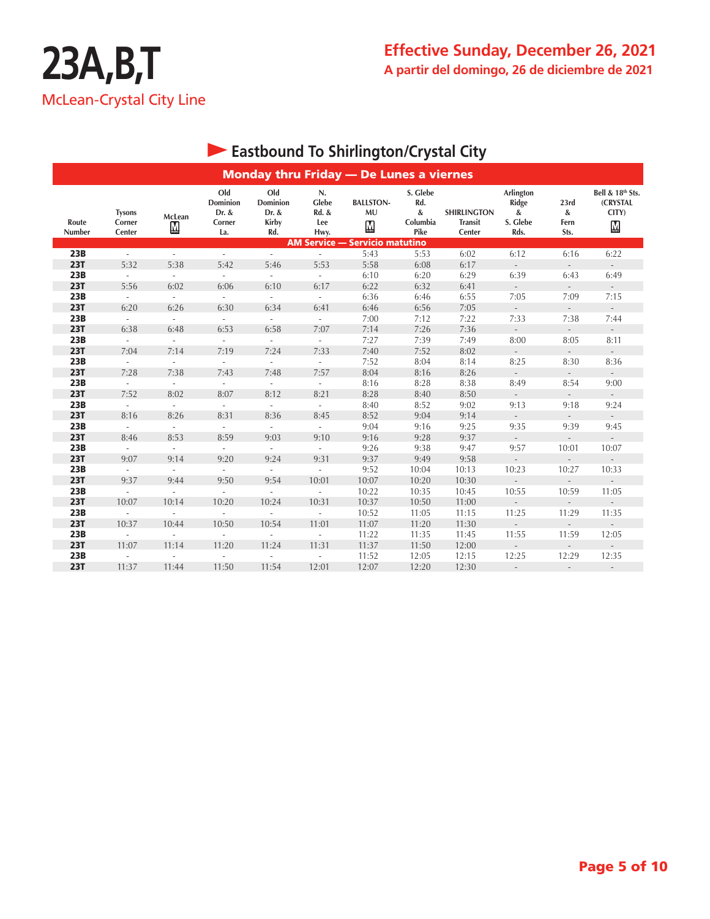|                 |                                   |                             |                                           |                                                 |                                     | <b>Monday thru Friday - De Lunes a viernes</b> |                                          |                                                |                                                    |                             |                                                                   |
|-----------------|-----------------------------------|-----------------------------|-------------------------------------------|-------------------------------------------------|-------------------------------------|------------------------------------------------|------------------------------------------|------------------------------------------------|----------------------------------------------------|-----------------------------|-------------------------------------------------------------------|
| Route<br>Number | <b>Tysons</b><br>Corner<br>Center | McLean<br>М                 | Old<br>Dominion<br>Dr. &<br>Corner<br>La. | Old<br><b>Dominion</b><br>Dr. &<br>Kirby<br>Rd. | N.<br>Glebe<br>Rd. &<br>Lee<br>Hwy. | <b>BALLSTON-</b><br>MU<br>$\bf M$              | S. Glebe<br>Rd.<br>&<br>Columbia<br>Pike | <b>SHIRLINGTON</b><br><b>Transit</b><br>Center | Arlington<br><b>Ridge</b><br>&<br>S. Glebe<br>Rds. | 23rd<br>&<br>Fern<br>Sts.   | Bell & 18th Sts.<br>(CRYSTAL<br>CITY)<br>$\underline{\mathbf{M}}$ |
|                 |                                   |                             |                                           |                                                 |                                     | <b>AM Service - Servicio matutino</b>          |                                          |                                                |                                                    |                             |                                                                   |
| 23B             | ÷.                                | ÷.                          | $\mathcal{L}$                             | $\sim$                                          |                                     | 5:43                                           | 5:53                                     | 6:02                                           | 6:12                                               | 6:16                        | 6:22                                                              |
| <b>23T</b>      | 5:32                              | 5:38                        | 5:42                                      | 5:46                                            | 5:53                                | 5:58                                           | 6:08                                     | 6:17                                           |                                                    | $\overline{\phantom{a}}$    | $\overline{\phantom{a}}$                                          |
| 23B             | ÷.                                | $\mathcal{L}_{\mathcal{A}}$ | $\sim$                                    | $\mathbf{r}$                                    | $\sim$                              | 6:10                                           | 6:20                                     | 6:29                                           | 6:39                                               | 6:43                        | 6:49                                                              |
| <b>23T</b>      | 5:56                              | 6:02                        | 6:06                                      | 6:10                                            | 6:17                                | 6:22                                           | 6:32                                     | 6:41                                           |                                                    | $\mathcal{L}$               |                                                                   |
| 23B             | $\sim$                            | $\sim$                      | ÷.                                        | $\sim$                                          | $\sim$                              | 6:36                                           | 6:46                                     | 6:55                                           | 7:05                                               | 7:09                        | 7:15                                                              |
| <b>23T</b>      | 6:20                              | 6:26                        | 6:30                                      | 6:34                                            | 6:41                                | 6:46                                           | 6:56                                     | 7:05                                           |                                                    | $\mathcal{L}$               |                                                                   |
| 23B             | $\sim$                            | $\overline{\phantom{a}}$    | $\overline{\phantom{a}}$                  | $\overline{\phantom{a}}$                        | $\overline{\phantom{a}}$            | 7:00                                           | 7:12                                     | 7:22                                           | 7:33                                               | 7:38                        | 7:44                                                              |
| <b>23T</b>      | 6:38                              | 6:48                        | 6:53                                      | 6:58                                            | 7:07                                | 7:14                                           | 7:26                                     | 7:36                                           | $\mathcal{L}$                                      | $\mathcal{L}^{\pm}$         | $\mathcal{L}_{\mathcal{A}}$                                       |
| 23B             | $\overline{\phantom{a}}$          | $\mathcal{L}^{\mathcal{A}}$ | $\frac{1}{2}$                             | $\overline{\phantom{a}}$                        | $\overline{\phantom{a}}$            | 7:27                                           | 7:39                                     | 7:49                                           | 8:00                                               | 8:05                        | 8:11                                                              |
| <b>23T</b>      | 7:04                              | 7:14                        | 7:19                                      | 7:24                                            | 7:33                                | 7:40                                           | 7:52                                     | 8:02                                           | $\overline{\phantom{a}}$                           | $\mathcal{L}^{\pm}$         | $\sim$                                                            |
| 23B             | $\mathcal{L}$                     | $\mathcal{L}^{\mathcal{A}}$ | $\sim$                                    | $\bar{a}$                                       | $\mathcal{L}_{\mathcal{A}}$         | 7:52                                           | 8:04                                     | 8:14                                           | 8:25                                               | 8:30                        | 8:36                                                              |
| <b>23T</b>      | 7:28                              | 7:38                        | 7:43                                      | 7:48                                            | 7:57                                | 8:04                                           | 8:16                                     | 8:26                                           | $\mathcal{L}^{\pm}$                                | $\mathcal{L}^{\mathcal{L}}$ | $\sim$                                                            |
| 23B             | $\mathcal{L}$                     | $\mathcal{L}$               |                                           | $\bar{a}$                                       | $\sim$                              | 8:16                                           | 8:28                                     | 8:38                                           | 8:49                                               | 8:54                        | 9:00                                                              |
| <b>23T</b>      | 7:52                              | 8:02                        | 8:07                                      | 8:12                                            | 8:21                                | 8:28                                           | 8:40                                     | 8:50                                           | $\overline{\phantom{a}}$                           | $\overline{\phantom{a}}$    | $\sim$                                                            |
| 23B             | $\sim$                            | $\mathcal{L}$               | $\mathbf{r}$                              | ÷.                                              | $\omega$                            | 8:40                                           | 8:52                                     | 9:02                                           | 9:13                                               | 9:18                        | 9:24                                                              |
| <b>23T</b>      | 8:16                              | 8:26                        | 8:31                                      | 8:36                                            | 8:45                                | 8:52                                           | 9:04                                     | 9:14                                           | $\overline{\phantom{a}}$                           | $\sim$                      | $\overline{\phantom{a}}$                                          |
| 23B             | $\mathcal{L}$                     | $\overline{\phantom{a}}$    | $\overline{\phantom{a}}$                  | $\sim$                                          | $\sim$                              | 9:04                                           | 9:16                                     | 9:25                                           | 9:35                                               | 9:39                        | 9:45                                                              |
| <b>23T</b>      | 8:46                              | 8:53                        | 8:59                                      | 9:03                                            | 9:10                                | 9:16                                           | 9:28                                     | 9:37                                           | $\overline{\phantom{a}}$                           | $\overline{\phantom{a}}$    | $\sim$                                                            |
| 23B             | $\overline{\phantom{a}}$          | $\overline{\phantom{a}}$    | $\overline{\phantom{a}}$                  | $\overline{\phantom{a}}$                        | $\sim$                              | 9:26                                           | 9:38                                     | 9:47                                           | 9:57                                               | 10:01                       | 10:07                                                             |
| <b>23T</b>      | 9:07                              | 9:14                        | 9:20                                      | 9:24                                            | 9:31                                | 9:37                                           | 9:49                                     | 9:58                                           |                                                    |                             |                                                                   |
| 23B             | $\sim$                            | $\overline{\phantom{a}}$    | $\overline{\phantom{a}}$                  | $\overline{\phantom{a}}$                        | $\overline{\phantom{a}}$            | 9:52                                           | 10:04                                    | 10:13                                          | 10:23                                              | 10:27                       | 10:33                                                             |
| <b>23T</b>      | 9:37                              | 9:44                        | 9:50                                      | 9:54                                            | 10:01                               | 10:07                                          | 10:20                                    | 10:30                                          | $\overline{\phantom{a}}$                           | $\overline{\phantom{0}}$    | $\overline{\phantom{a}}$                                          |
| 23B             |                                   | ÷,                          | ä,                                        | $\overline{\phantom{a}}$                        |                                     | 10:22                                          | 10:35                                    | 10:45                                          | 10:55                                              | 10:59                       | 11:05                                                             |
| <b>23T</b>      | 10:07                             | 10:14                       | 10:20                                     | 10:24                                           | 10:31                               | 10:37                                          | 10:50                                    | 11:00                                          | $\bar{a}$                                          | $\sim$                      | $\sim$                                                            |
| 23B             |                                   |                             |                                           |                                                 |                                     | 10:52                                          | 11:05                                    | 11:15                                          | 11:25                                              | 11:29                       | 11:35                                                             |
| <b>23T</b>      | 10:37                             | 10:44                       | 10:50                                     | 10:54                                           | 11:01                               | 11:07                                          | 11:20                                    | 11:30                                          | $\overline{\phantom{a}}$                           |                             | $\sim$                                                            |
| 23B             |                                   |                             |                                           |                                                 |                                     | 11:22                                          | 11:35                                    | 11:45                                          | 11:55                                              | 11:59                       | 12:05                                                             |
| <b>23T</b>      | 11:07                             | 11:14                       | 11:20                                     | 11:24                                           | 11:31                               | 11:37                                          | 11:50                                    | 12:00                                          |                                                    |                             |                                                                   |
| 23B             | ×.                                | $\sim$                      | ÷.                                        | $\sim$                                          | $\overline{\phantom{a}}$            | 11:52                                          | 12:05                                    | 12:15                                          | 12:25                                              | 12:29                       | 12:35                                                             |
| <b>23T</b>      | 11:37                             | 11:44                       | 11:50                                     | 11:54                                           | 12:01                               | 12:07                                          | 12:20                                    | 12:30                                          | $\overline{\phantom{a}}$                           | $\sim$                      | $\overline{\phantom{a}}$                                          |

## **Eastbound To Shirlington/Crystal City**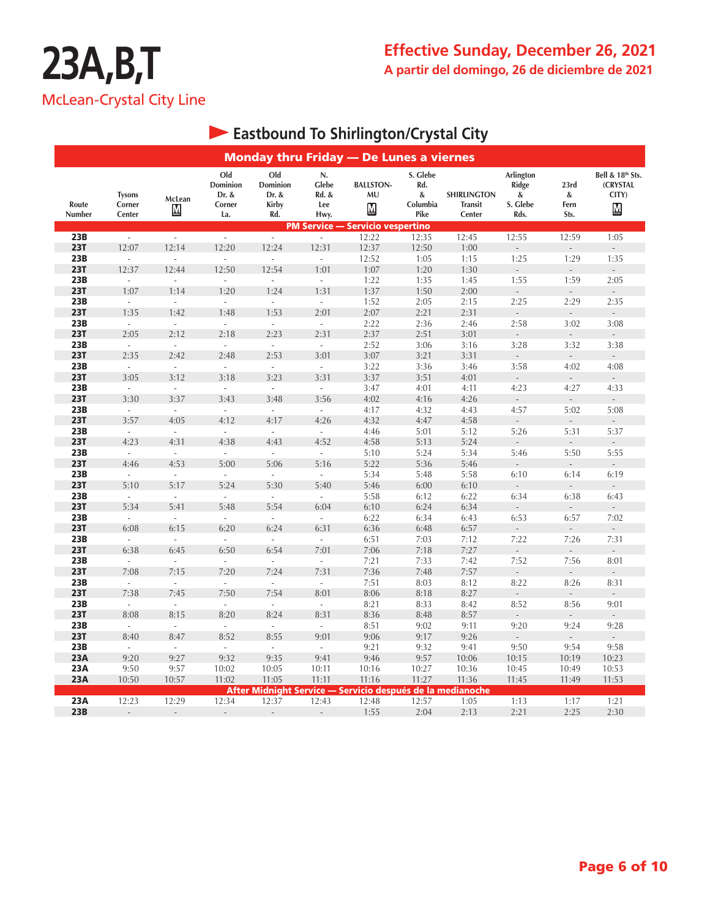|                   |                                   |                             |                                           |                                          |                                     | <b>Monday thru Friday - De Lunes a viernes</b>             |                                          |                                                |                                             |                                  |                                                           |
|-------------------|-----------------------------------|-----------------------------|-------------------------------------------|------------------------------------------|-------------------------------------|------------------------------------------------------------|------------------------------------------|------------------------------------------------|---------------------------------------------|----------------------------------|-----------------------------------------------------------|
| Route<br>Number   | <b>Tysons</b><br>Corner<br>Center | McLean<br>М                 | Old<br>Dominion<br>Dr. &<br>Corner<br>La. | Old<br>Dominion<br>Dr. &<br>Kirby<br>Rd. | N.<br>Glebe<br>Rd. &<br>Lee<br>Hwy. | <b>BALLSTON-</b><br>MU<br>$\underline{\mathbf{M}}$         | S. Glebe<br>Rd.<br>&<br>Columbia<br>Pike | <b>SHIRLINGTON</b><br><b>Transit</b><br>Center | Arlington<br>Ridge<br>&<br>S. Glebe<br>Rds. | 23rd<br>&<br>Fern<br>Sts.        | Bell & 18th Sts.<br>(CRYSTAL<br>CITY)<br>$M_{\text{max}}$ |
|                   |                                   |                             |                                           |                                          | <b>PM Service -</b>                 | · Servicio vespertino                                      |                                          |                                                |                                             |                                  |                                                           |
| 23B               | $\sim$                            | $\sim$                      | $\omega$                                  | $\sim$                                   | $\sim$                              | 12:22                                                      | 12:35                                    | 12:45                                          | 12:55                                       | 12:59                            | 1:05                                                      |
| <b>23T</b><br>23B | 12:07                             | 12:14<br>L.                 | 12:20                                     | 12:24                                    | 12:31                               | 12:37                                                      | 12:50                                    | 1:00                                           |                                             | 1:29                             |                                                           |
| <b>23T</b>        | $\overline{\phantom{a}}$<br>12:37 | 12:44                       | $\overline{\phantom{a}}$<br>12:50         | $\overline{\phantom{a}}$<br>12:54        | $\overline{\phantom{a}}$<br>1:01    | 12:52<br>1:07                                              | 1:05<br>1:20                             | 1:15<br>1:30                                   | 1:25<br>$\mathbb{Z}^2$                      | $\Box$                           | 1:35                                                      |
| 23B               | J.                                | $\bar{\phantom{a}}$         | ÷.                                        | ÷.                                       | $\sim$                              | 1:22                                                       | 1:35                                     | 1:45                                           | 1:55                                        | 1:59                             | 2:05                                                      |
| <b>23T</b>        | 1:07                              | 1:14                        | 1:20                                      | 1:24                                     | 1:31                                | 1:37                                                       | 1:50                                     | 2:00                                           |                                             | $\frac{1}{2}$                    |                                                           |
| 23B               | $\omega$                          | $\omega$                    | $\mathcal{L}$                             | $\sim$                                   | $\omega$                            | 1:52                                                       | 2:05                                     | 2:15                                           | 2:25                                        | 2:29                             | 2:35                                                      |
| <b>23T</b>        | 1:35                              | 1:42                        | 1:48                                      | 1:53                                     | 2:01                                | 2:07                                                       | 2:21                                     | 2:31                                           | $\overline{\phantom{a}}$                    | $\overline{\phantom{a}}$         | $\overline{\phantom{a}}$                                  |
| 23B               | $\omega$                          | $\omega$                    | $\omega$                                  | $\mathcal{L}$                            | $\mathcal{L}$                       | 2:22                                                       | 2:36                                     | 2:46                                           | 2:58                                        | 3:02                             | 3:08                                                      |
| <b>23T</b>        | 2:05                              | 2:12                        | 2:18                                      | 2:23                                     | 2:31                                | 2:37                                                       | 2:51                                     | 3:01                                           | $\Box$                                      | $\sim$                           | $\sim$                                                    |
| 23B               | $\mathcal{L}_{\mathcal{A}}$       | $\mathcal{L}$               | $\mathcal{L}$                             | $\sim$                                   | $\mathcal{L}$                       | 2:52                                                       | 3:06                                     | 3:16                                           | 3:28                                        | 3:32                             | 3:38                                                      |
| <b>23T</b>        | 2:35                              | 2:42                        | 2:48                                      | 2:53                                     | 3:01                                | 3:07                                                       | 3:21                                     | 3:31                                           |                                             |                                  |                                                           |
| 23B               | $\mathcal{L}_{\mathcal{A}}$       | $\mathcal{L}_{\mathcal{A}}$ | $\sim$                                    | $\sim$                                   | $\mathcal{L}$                       | 3:22                                                       | 3:36                                     | 3:46                                           | 3:58                                        | 4:02                             | 4:08                                                      |
| <b>23T</b>        | 3:05                              | 3:12                        | 3:18                                      | 3:23                                     | 3:31                                | 3:37                                                       | 3:51                                     | 4:01                                           | $\overline{\phantom{a}}$                    | $\overline{a}$                   |                                                           |
| 23B               | $\overline{\phantom{a}}$          | $\overline{\phantom{a}}$    | $\overline{\phantom{a}}$                  | $\overline{\phantom{a}}$                 | $\overline{\phantom{a}}$            | 3:47                                                       | 4:01                                     | 4:11                                           | 4:23                                        | 4:27                             | 4:33                                                      |
| <b>23T</b>        | 3:30                              | 3:37                        | 3:43                                      | 3:48                                     | 3:56                                | 4:02                                                       | 4:16                                     | 4:26                                           | $\mathcal{L}_{\mathcal{A}}$                 | $\mathbb{L}$                     | $\mathcal{L}^{\pm}$                                       |
| 23B               | $\mathcal{L}_{\mathcal{A}}$       | $\omega$                    | $\mathcal{L}_{\mathcal{A}}$               | $\mathcal{L}_{\mathcal{A}}$              | $\sim$                              | 4:17                                                       | 4:32                                     | 4:43                                           | 4:57                                        | 5:02                             | 5:08                                                      |
| <b>23T</b><br>23B | 3:57<br>$\omega$                  | 4:05<br>$\omega$            | 4:12<br>$\mathcal{L}$                     | 4:17<br>$\sim$                           | 4:26<br>$\sim$                      | 4:32<br>4:46                                               | 4:47<br>5:01                             | 4:58<br>5:12                                   | 5:26                                        | 5:31                             | 5:37                                                      |
| <b>23T</b>        | 4:23                              | 4:31                        | 4:38                                      | 4:43                                     | 4:52                                | 4:58                                                       | 5:13                                     | 5:24                                           | $\Box$                                      | $\Box$                           | $\sim$                                                    |
| 23B               | $\overline{\phantom{a}}$          | $\overline{\phantom{a}}$    | $\mathcal{L}$                             | $\sim$                                   | $\sim$                              | 5:10                                                       | 5:24                                     | 5:34                                           | 5:46                                        | 5:50                             | 5:55                                                      |
| <b>23T</b>        | 4:46                              | 4:53                        | 5:00                                      | 5:06                                     | 5:16                                | 5:22                                                       | 5:36                                     | 5:46                                           | $\overline{\phantom{a}}$                    | $\overline{\phantom{a}}$         | $\mathcal{L}^{\pm}$                                       |
| 23B               | $\sim$                            | $\mathcal{L}$               | $\sim$                                    | $\sim$                                   | $\sim$                              | 5:34                                                       | 5:48                                     | 5:58                                           | 6:10                                        | 6:14                             | 6:19                                                      |
| <b>23T</b>        | 5:10                              | 5:17                        | 5:24                                      | 5:30                                     | 5:40                                | 5:46                                                       | 6:00                                     | 6:10                                           |                                             |                                  |                                                           |
| 23B               | ÷.                                | ÷.                          | ÷                                         | ÷                                        | ÷                                   | 5:58                                                       | 6:12                                     | 6:22                                           | 6:34                                        | 6:38                             | 6:43                                                      |
| <b>23T</b>        | 5:34                              | 5:41                        | 5:48                                      | 5:54                                     | 6:04                                | 6:10                                                       | 6:24                                     | 6:34                                           |                                             | ÷,                               | $\Box$                                                    |
| 23B               | $\overline{\phantom{a}}$          | $\overline{\phantom{a}}$    | $\overline{\phantom{a}}$                  | $\mathcal{L}_{\mathcal{A}}$              | $\mathcal{L}_{\mathcal{A}}$         | 6:22                                                       | 6:34                                     | 6:43                                           | 6:53                                        | 6:57                             | 7:02                                                      |
| <b>23T</b>        | 6:08                              | 6:15                        | 6:20                                      | 6:24                                     | 6:31                                | 6:36                                                       | 6:48                                     | 6:57                                           | $\mathcal{L}$                               | $\overline{\phantom{a}}$         |                                                           |
| 23B               | $\mathcal{L}$                     | $\mathcal{L}$               | $\mathcal{L}$                             | $\mathcal{L}$                            | $\mathcal{L}$                       | 6:51                                                       | 7:03                                     | 7:12                                           | 7:22                                        | 7:26                             | 7:31                                                      |
| <b>23T</b>        | 6:38                              | 6:45                        | 6:50                                      | 6:54                                     | 7:01                                | 7:06                                                       | 7:18                                     | 7:27                                           |                                             | $\frac{1}{2}$                    |                                                           |
| 23B               | $\mathcal{L}_{\mathcal{A}}$       | $\sim$                      | $\sim$                                    | $\sim$                                   | $\mathcal{L}$                       | 7:21                                                       | 7:33                                     | 7:42                                           | 7:52                                        | 7:56                             | 8:01                                                      |
| <b>23T</b><br>23B | 7:08<br>$\omega$                  | 7:15<br>$\sim$              | 7:20<br>$\mathcal{L}_{\mathcal{A}}$       | 7:24<br>$\sim$                           | 7:31<br>$\overline{\phantom{a}}$    | 7:36<br>7:51                                               | 7:48<br>8:03                             | 7:57                                           | $\overline{\phantom{a}}$<br>8:22            | $\overline{\phantom{a}}$<br>8:26 | $\mathbb{Z}^2$<br>8:31                                    |
| <b>23T</b>        | 7:38                              | 7:45                        | 7:50                                      | 7:54                                     | 8:01                                | 8:06                                                       | 8:18                                     | 8:12<br>8:27                                   | $\overline{\phantom{a}}$                    | $\mathcal{L}$                    | $\overline{\phantom{a}}$                                  |
| 23B               | $\sim$                            | $\mathcal{L}$               | $\sim$                                    | $\sim$                                   | $\mathcal{L}$                       | 8:21                                                       | 8:33                                     | 8:42                                           | 8:52                                        | 8:56                             | 9:01                                                      |
| <b>23T</b>        | 8:08                              | 8:15                        | 8:20                                      | 8:24                                     | 8:31                                | 8:36                                                       | 8:48                                     | 8:57                                           |                                             |                                  |                                                           |
| 23B               | $\overline{\phantom{a}}$          | $\overline{\phantom{a}}$    | $\mathcal{L}_{\mathcal{A}}$               | $\mathcal{L}_{\mathcal{A}}$              | $\sim$                              | 8:51                                                       | 9:02                                     | 9:11                                           | 9:20                                        | 9:24                             | 9:28                                                      |
| <b>23T</b>        | 8:40                              | 8:47                        | 8:52                                      | 8:55                                     | 9:01                                | 9:06                                                       | 9:17                                     | 9:26                                           |                                             |                                  |                                                           |
| 23B               | $\overline{\phantom{a}}$          | $\omega$                    | $\sim$                                    | $\sim$                                   | $\bar{a}$                           | 9:21                                                       | 9:32                                     | 9:41                                           | 9:50                                        | 9:54                             | 9:58                                                      |
| <b>23A</b>        | 9:20                              | 9:27                        | 9:32                                      | 9:35                                     | 9:41                                | 9:46                                                       | 9:57                                     | 10:06                                          | 10:15                                       | 10:19                            | 10:23                                                     |
| 23A               | 9:50                              | 9:57                        | 10:02                                     | 10:05                                    | 10:11                               | 10:16                                                      | 10:27                                    | 10:36                                          | 10:45                                       | 10:49                            | 10:53                                                     |
| 23A               | 10:50                             | 10:57                       | 11:02                                     | 11:05                                    | 11:11                               | 11:16                                                      | 11:27                                    | 11:36                                          | 11:45                                       | 11:49                            | 11:53                                                     |
|                   |                                   |                             |                                           |                                          |                                     | After Midnight Service — Servicio después de la medianoche |                                          |                                                |                                             |                                  |                                                           |
| 23A               | 12:23                             | 12:29                       | 12:34                                     | 12:37                                    | 12:43                               | 12:48                                                      | 12:57                                    | 1:05                                           | 1:13                                        | 1:17                             | 1:21                                                      |
| 23B               | $\overline{a}$                    | $\overline{a}$              | $\blacksquare$                            | $\overline{a}$                           | $\overline{\phantom{a}}$            | 1:55                                                       | 2:04                                     | 2:13                                           | 2:21                                        | 2:25                             | 2:30                                                      |

## **Eastbound To Shirlington/Crystal City**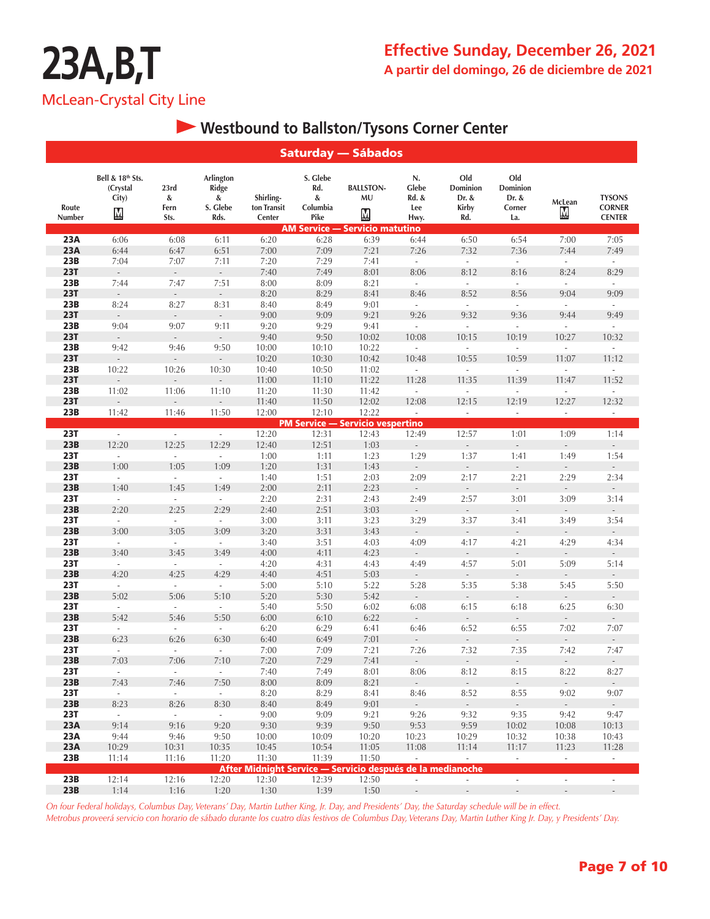### **Westbound to Ballston/Tysons Corner Center**

|                   |                                                                   |                             |                                             |                                    |                                          | <b>Saturday — Sábados</b>                                  |                                     |                                                 |                                           |                                  |                                                 |
|-------------------|-------------------------------------------------------------------|-----------------------------|---------------------------------------------|------------------------------------|------------------------------------------|------------------------------------------------------------|-------------------------------------|-------------------------------------------------|-------------------------------------------|----------------------------------|-------------------------------------------------|
| Route<br>Number   | Bell & 18th Sts.<br>(Crystal<br>City)<br>$\underline{\mathbf{M}}$ | 23rd<br>&<br>Fern<br>Sts.   | Arlington<br>Ridge<br>&<br>S. Glebe<br>Rds. | Shirling-<br>ton Transit<br>Center | S. Glebe<br>Rd.<br>&<br>Columbia<br>Pike | <b>BALLSTON-</b><br>MU<br>$\mathbf M$                      | N.<br>Glebe<br>Rd. &<br>Lee<br>Hwy. | Old<br>Dominion<br>Dr. &<br><b>Kirby</b><br>Rd. | Old<br>Dominion<br>Dr. &<br>Corner<br>La. | McLean<br>▧                      | <b>TYSONS</b><br><b>CORNER</b><br><b>CENTER</b> |
|                   |                                                                   |                             |                                             |                                    |                                          | <b>AM Service — Servicio matutino</b>                      |                                     |                                                 |                                           |                                  |                                                 |
| 23A               | 6:06                                                              | 6:08                        | 6:11                                        | 6:20                               | 6:28                                     | 6:39                                                       | 6:44                                | 6:50                                            | 6:54                                      | 7:00                             | 7:05                                            |
| 23A               | 6:44                                                              | 6:47                        | 6:51                                        | 7:00                               | 7:09                                     | 7:21                                                       | 7:26                                | 7:32                                            | 7:36                                      | 7:44                             | 7:49                                            |
| 23B               | 7:04                                                              | 7:07                        | 7:11                                        | 7:20                               | 7:29                                     | 7:41                                                       | $\bar{\phantom{a}}$                 | $\overline{\phantom{a}}$                        | $\overline{\phantom{a}}$                  | $\overline{\phantom{a}}$         | $\overline{\phantom{a}}$                        |
| <b>23T</b>        | $\frac{1}{2}$                                                     |                             | $\overline{\phantom{a}}$                    | 7:40                               | 7:49                                     | 8:01                                                       | 8:06                                | 8:12                                            | 8:16                                      | 8:24                             | 8:29                                            |
| 23B<br><b>23T</b> | 7:44                                                              | 7:47                        | 7:51                                        | 8:00                               | 8:09                                     | 8:21                                                       | $\mathcal{L}$                       | $\overline{\phantom{a}}$<br>8:52                | ÷.                                        | $\bar{\phantom{a}}$              | $\overline{\phantom{a}}$                        |
| 23B               | $\frac{1}{2}$<br>8:24                                             | 8:27                        | $\blacksquare$<br>8:31                      | 8:20<br>8:40                       | 8:29                                     | 8:41<br>9:01                                               | 8:46<br>$\mathcal{L}^{\mathcal{L}}$ | $\mathcal{L}_{\mathcal{A}}$                     | 8:56<br>$\mathcal{L}^{\mathcal{A}}$       | 9:04<br>$\omega$                 | 9:09<br>$\mathcal{L}_{\mathcal{A}}$             |
| <b>23T</b>        | $\overline{a}$                                                    | $\mathcal{L}$               | $\mathcal{L}_{\mathcal{A}}$                 | 9:00                               | 8:49<br>9:09                             | 9:21                                                       | 9:26                                | 9:32                                            | 9:36                                      | 9:44                             | 9:49                                            |
| 23B               | 9:04                                                              | 9:07                        | 9:11                                        | 9:20                               | 9:29                                     | 9:41                                                       | $\overline{\phantom{a}}$            | ÷,                                              | $\frac{1}{2}$                             | $\overline{\phantom{a}}$         | $\overline{\phantom{a}}$                        |
| <b>23T</b>        | $\mathcal{L}^{\pm}$                                               | $\overline{\phantom{a}}$    | ÷,                                          | 9:40                               | 9:50                                     | 10:02                                                      | 10:08                               | 10:15                                           | 10:19                                     | 10:27                            | 10:32                                           |
| 23B               | 9:42                                                              | 9:46                        | 9:50                                        | 10:00                              | 10:10                                    | 10:22                                                      | $\overline{\phantom{a}}$            | $\Box$                                          | $\Box$                                    | $\overline{\phantom{a}}$         | ÷,                                              |
| <b>23T</b>        | ÷,                                                                | $\overline{a}$              | $\frac{1}{2}$                               | 10:20                              | 10:30                                    | 10:42                                                      | 10:48                               | 10:55                                           | 10:59                                     | 11:07                            | 11:12                                           |
| 23B               | 10:22                                                             | 10:26                       | 10:30                                       | 10:40                              | 10:50                                    | 11:02                                                      | ÷,                                  | ÷,                                              | ÷,                                        | $\overline{a}$                   | Ĭ.                                              |
| <b>23T</b>        |                                                                   |                             |                                             | 11:00                              | 11:10                                    | 11:22                                                      | 11:28                               | 11:35                                           | 11:39                                     | 11:47                            | 11:52                                           |
| 23B               | 11:02                                                             | 11:06                       | 11:10                                       | 11:20                              | 11:30                                    | 11:42                                                      |                                     | ä,                                              |                                           | $\overline{a}$                   |                                                 |
| <b>23T</b>        |                                                                   |                             |                                             | 11:40                              | 11:50                                    | 12:02                                                      | 12:08                               | 12:15                                           | 12:19                                     | 12:27                            | 12:32                                           |
| 23B               | 11:42                                                             | 11:46                       | 11:50                                       | 12:00                              | 12:10                                    | 12:22                                                      | ÷,                                  | ÷,                                              | ÷,                                        | $\overline{\phantom{a}}$         | $\overline{\phantom{a}}$                        |
|                   |                                                                   |                             |                                             |                                    |                                          | <b>PM Service - Servicio vespertino</b>                    |                                     |                                                 |                                           |                                  |                                                 |
| <b>23T</b>        | $\mathcal{L}$                                                     | ÷.                          | $\mathcal{L}$                               | 12:20                              | 12:31                                    | 12:43                                                      | 12:49                               | 12:57                                           | 1:01                                      | 1:09                             | 1:14                                            |
| 23B               | 12:20                                                             | 12:25                       | 12:29                                       | 12:40                              | 12:51                                    | 1:03                                                       |                                     |                                                 |                                           |                                  |                                                 |
| <b>23T</b>        | $\overline{\phantom{a}}$                                          | $\overline{\phantom{a}}$    | $\overline{\phantom{a}}$                    | 1:00                               | 1:11                                     | 1:23                                                       | 1:29                                | 1:37                                            | 1:41                                      | 1:49                             | 1:54                                            |
| 23B               | 1:00                                                              | 1:05                        | 1:09                                        | 1:20                               | 1:31                                     | 1:43                                                       | $\Box$                              | $\overline{a}$                                  | $\Box$                                    | $\Box$                           | $\mathbb{Z}^2$                                  |
| <b>23T</b>        | $\sim$                                                            | $\sim$                      | $\sim$                                      | 1:40                               | 1:51                                     | 2:03                                                       | 2:09                                | 2:17                                            | 2:21                                      | 2:29                             | 2:34                                            |
| 23B               | 1:40                                                              | 1:45                        | 1:49                                        | 2:00                               | 2:11                                     | 2:23                                                       |                                     |                                                 |                                           |                                  |                                                 |
| <b>23T</b>        | $\mathcal{L}_{\mathcal{A}}$                                       | $\mathcal{L}_{\mathcal{A}}$ | $\overline{\phantom{a}}$                    | 2:20                               | 2:31                                     | 2:43                                                       | 2:49                                | 2:57                                            | 3:01                                      | 3:09                             | 3:14                                            |
| 23B               | 2:20                                                              | 2:25                        | 2:29                                        | 2:40                               | 2:51                                     | 3:03                                                       | $\overline{a}$                      | $\overline{a}$                                  | $\frac{1}{2}$                             | $\overline{\phantom{a}}$         |                                                 |
| <b>23T</b>        | ÷.                                                                | $\overline{\phantom{a}}$    | $\bar{a}$                                   | 3:00                               | 3:11                                     | 3:23                                                       | 3:29                                | 3:37                                            | 3:41                                      | 3:49                             | 3:54                                            |
| 23B               | 3:00                                                              | 3:05                        | 3:09                                        | 3:20                               | 3:31                                     | 3:43                                                       | $\mathcal{L}_{\mathcal{A}}$         | $\mathbb{Z}^2$                                  | $\mathbb{Z}^2$                            | $\overline{\phantom{a}}$         | $\mathcal{L}^{\pm}$                             |
| <b>23T</b>        | $\sim$                                                            | $\sim$                      | $\mathcal{L}_{\mathcal{A}}$                 | 3:40                               | 3:51                                     | 4:03                                                       | 4:09                                | 4:17                                            | 4:21                                      | 4:29                             | 4:34                                            |
| 23B               | 3:40                                                              | 3:45                        | 3:49                                        | 4:00                               | 4:11                                     | 4:23                                                       | $\overline{\phantom{a}}$            | $\mathbb{Z}^{\mathbb{Z}}$                       | $\overline{\phantom{a}}$                  | $\Box$                           | $\Box$                                          |
| <b>23T</b>        | $\omega$                                                          | $\bar{\phantom{a}}$         | ä,                                          | 4:20                               | 4:31                                     | 4:43                                                       | 4:49                                | 4:57                                            | 5:01                                      | 5:09                             | 5:14                                            |
| 23B               | 4:20                                                              | 4:25                        | 4:29                                        | 4:40                               | 4:51                                     | 5:03                                                       | $\overline{a}$                      | $\overline{\phantom{a}}$                        | $\frac{1}{2}$                             | $\overline{a}$                   | $\overline{\phantom{a}}$                        |
| <b>23T</b>        | $\omega$                                                          | $\bar{\phantom{a}}$         | ä,                                          | 5:00                               | 5:10                                     | 5:22                                                       | 5:28                                | 5:35                                            | 5:38                                      | 5:45                             | 5:50                                            |
| 23B               | 5:02                                                              | 5:06                        | 5:10                                        | 5:20                               | 5:30                                     | 5:42                                                       | $\overline{\phantom{a}}$            |                                                 |                                           |                                  |                                                 |
| <b>23T</b>        | $\overline{\phantom{a}}$                                          | $\bar{\phantom{a}}$         | $\sim$                                      | 5:40                               | 5:50                                     | 6:02                                                       | 6:08                                | 6:15                                            | 6:18                                      | 6:25                             | 6:30                                            |
| 23B<br><b>23T</b> | 5:42<br>$\overline{\phantom{a}}$                                  | 5:46<br>$\sim$              | 5:50<br>÷,                                  | 6:00                               | 6:10                                     | 6:22                                                       | $\overline{a}$                      |                                                 |                                           | $\overline{\phantom{a}}$         |                                                 |
| 23B               | 6:23                                                              | 6:26                        | 6:30                                        | 6:20<br>6:40                       | 6:29                                     | 6:41                                                       | 6:46<br>$\overline{\phantom{a}}$    | 6:52<br>$\mathcal{L}^{\mathcal{L}}$             | 6:55<br>$\mathcal{L}$                     | 7:02<br>$\overline{\phantom{a}}$ | 7:07<br>$\mathcal{L}^{\mathcal{L}}$             |
| <b>23T</b>        | ÷.                                                                | ÷,                          | ÷.                                          | 7:00                               | 6:49<br>7:09                             | 7:01<br>7:21                                               | 7:26                                | 7:32                                            | 7:35                                      | 7:42                             | 7:47                                            |
| 23B               | 7:03                                                              | 7:06                        | 7:10                                        | 7:20                               | 7:29                                     | 7:41                                                       |                                     |                                                 |                                           |                                  |                                                 |
| <b>23T</b>        | $\sim$                                                            | $\sim$                      | $\sim$                                      | 7:40                               | 7:49                                     | 8:01                                                       | 8:06                                | 8:12                                            | 8:15                                      | 8:22                             | 8:27                                            |
| 23B               | 7:43                                                              | 7:46                        | 7:50                                        | 8:00                               | 8:09                                     | 8:21                                                       | $\mathcal{L}_{\mathcal{A}}$         | $\omega_{\rm c}$                                | $\omega_{\rm c}$                          | $\mathcal{L}^{\pm}$              | $\mathcal{L}^{\pm}$                             |
| <b>23T</b>        | $\sim$                                                            | $\sim$                      | $\sim$                                      | 8:20                               | 8:29                                     | 8:41                                                       | 8:46                                | 8:52                                            | 8:55                                      | 9:02                             | 9:07                                            |
| 23B               | 8:23                                                              | 8:26                        | 8:30                                        | 8:40                               | 8:49                                     | 9:01                                                       | $\sim$                              | $\sim$                                          | $\sim$                                    | $\sim$                           | $\sim$                                          |
| <b>23T</b>        | $\sim$                                                            | $\sim$                      | $\sim$                                      | 9:00                               | 9:09                                     | 9:21                                                       | 9:26                                | 9:32                                            | 9:35                                      | 9:42                             | 9:47                                            |
| 23A               | 9:14                                                              | 9:16                        | 9:20                                        | 9:30                               | 9:39                                     | 9:50                                                       | 9:53                                | 9:59                                            | 10:02                                     | 10:08                            | 10:13                                           |
| 23A               | 9:44                                                              | 9:46                        | 9:50                                        | 10:00                              | 10:09                                    | 10:20                                                      | 10:23                               | 10:29                                           | 10:32                                     | 10:38                            | 10:43                                           |
| <b>23A</b>        | 10:29                                                             | 10:31                       | 10:35                                       | 10:45                              | 10:54                                    | 11:05                                                      | 11:08                               | 11:14                                           | 11:17                                     | 11:23                            | 11:28                                           |
| 23B               | 11:14                                                             | 11:16                       | 11:20                                       | 11:30                              | 11:39                                    | 11:50                                                      | $\sim$                              | $\sim$                                          | $\sim$                                    | $\sim$                           | $\sim$                                          |
|                   |                                                                   |                             |                                             |                                    |                                          | After Midnight Service — Servicio después de la medianoche |                                     |                                                 |                                           |                                  |                                                 |
| 23B               | 12:14                                                             | 12:16                       | 12:20                                       | 12:30                              | 12:39                                    | 12:50                                                      | $\sim$                              | $\mathcal{L}_{\mathcal{A}}$                     | $\overline{\phantom{a}}$                  | $\overline{\phantom{a}}$         | $\sim$                                          |
| 23B               | 1:14                                                              | 1:16                        | 1:20                                        | 1:30                               | 1:39                                     | 1:50                                                       | $\overline{\phantom{a}}$            | $\sim$                                          | $\overline{\phantom{a}}$                  | $\overline{\phantom{a}}$         | $\sim$                                          |

*On four Federal holidays, Columbus Day, Veterans' Day, Martin Luther King, Jr. Day, and Presidents' Day, the Saturday schedule will be in effect. Metrobus proveerá servicio con horario de sábado durante los cuatro días festivos de Columbus Day, Veterans Day, Martin Luther King Jr. Day, y Presidents' Day.*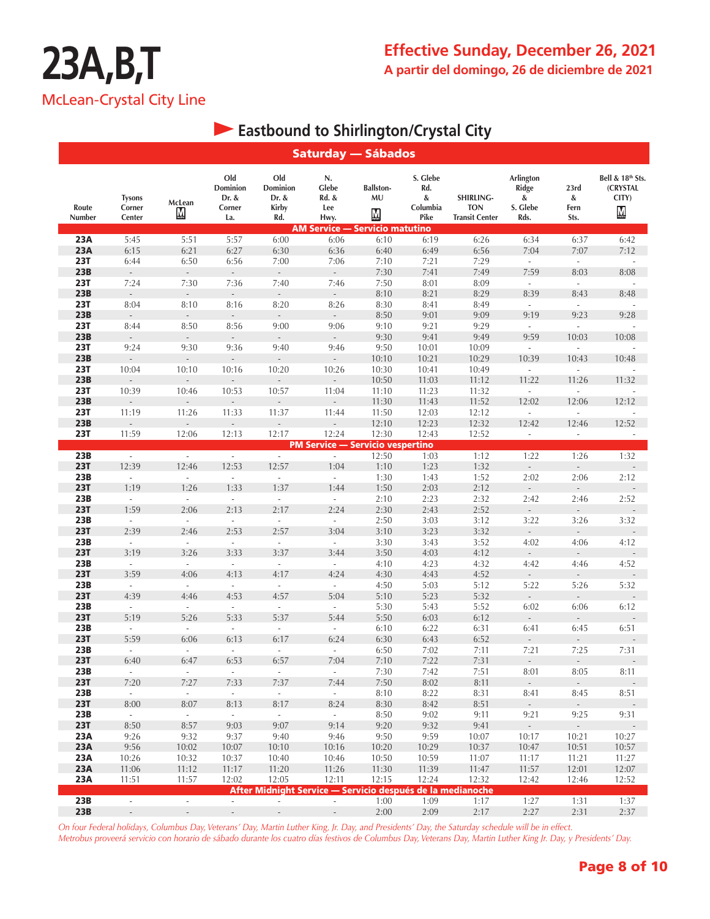### **Eastbound to Shirlington/Crystal City**

|                   |                                   |                          |                                           |                                                            | <b>Saturday — Sábados</b>                                                    |                                                    |                                          |                                                  |                                             |                                  |                                            |
|-------------------|-----------------------------------|--------------------------|-------------------------------------------|------------------------------------------------------------|------------------------------------------------------------------------------|----------------------------------------------------|------------------------------------------|--------------------------------------------------|---------------------------------------------|----------------------------------|--------------------------------------------|
| Route<br>Number   | <b>Tysons</b><br>Corner<br>Center | McLean<br>₪              | Old<br>Dominion<br>Dr. &<br>Corner<br>La. | Old<br>Dominion<br>Dr. &<br><b>Kirby</b><br>Rd.            | N.<br>Glebe<br>Rd. &<br>Lee<br>Hwy.<br><b>AM Service - Servicio matutino</b> | <b>Ballston-</b><br>MU<br>$\underline{\mathsf{M}}$ | S. Glebe<br>Rd.<br>&<br>Columbia<br>Pike | SHIRLING-<br><b>TON</b><br><b>Transit Center</b> | Arlington<br>Ridge<br>&<br>S. Glebe<br>Rds. | 23rd<br>$\&$<br>Fern<br>Sts.     | Bell & 18th Sts.<br>(CRYSTAL<br>CITY)<br>М |
| 23A               | 5:45                              | 5:51                     | 5:57                                      | 6:00                                                       | 6:06                                                                         | 6:10                                               | 6:19                                     | 6:26                                             | 6:34                                        | 6:37                             | 6:42                                       |
| 23A               | 6:15                              | 6:21                     | 6:27                                      | 6:30                                                       | 6:36                                                                         | 6:40                                               | 6:49                                     | 6:56                                             | 7:04                                        | 7:07                             | 7:12                                       |
| <b>23T</b>        | 6:44                              | 6:50                     | 6:56                                      | 7:00                                                       | 7:06                                                                         | 7:10                                               | 7:21                                     | 7:29                                             | $\sim$                                      | $\overline{\phantom{a}}$         | ÷,                                         |
| 23B               | $\overline{a}$                    |                          | $\overline{\phantom{a}}$                  | $\overline{\phantom{a}}$                                   | $\overline{\phantom{a}}$                                                     | 7:30                                               | 7:41                                     | 7:49                                             | 7:59                                        | 8:03                             | 8:08                                       |
| <b>23T</b>        | 7:24                              | 7:30                     | 7:36                                      | 7:40                                                       | 7:46                                                                         | 7:50                                               | 8:01                                     | 8:09                                             | $\omega$                                    | $\omega$                         |                                            |
| 23B               | $\sim$                            | $\sim$                   | $\sim$                                    | $\overline{\phantom{a}}$                                   | $\sim$                                                                       | 8:10                                               | 8:21                                     | 8:29                                             | 8:39                                        | 8:43                             | 8:48                                       |
| <b>23T</b>        | 8:04                              | 8:10                     | 8:16                                      | 8:20                                                       | 8:26                                                                         | 8:30                                               | 8:41                                     | 8:49                                             | $\omega$                                    | $\omega$                         |                                            |
| 23B               | $\mathcal{L}_{\mathcal{A}}$       | $\sim$                   | $\sim$                                    | $\sim$                                                     | $\sim$                                                                       | 8:50                                               | 9:01                                     | 9:09                                             | 9:19                                        | 9:23                             | 9:28                                       |
| <b>23T</b>        | 8:44                              | 8:50                     | 8:56                                      | 9:00                                                       | 9:06                                                                         | 9:10                                               | 9:21                                     | 9:29                                             | $\sim$                                      | $\overline{\phantom{a}}$         |                                            |
| 23B               | $\mathcal{L}_{\mathcal{A}}$       |                          | $\sim$                                    | $\mathcal{L}_{\mathcal{A}}$                                | $\mathbb{Z}^2$                                                               | 9:30                                               | 9:41                                     | 9:49                                             | 9:59                                        | 10:03                            | 10:08                                      |
| <b>23T</b>        | 9:24                              | 9:30                     | 9:36                                      | 9:40                                                       | 9:46                                                                         | 9:50                                               | 10:01                                    | 10:09                                            | $\overline{\phantom{a}}$                    | $\mathcal{L}$                    |                                            |
| 23B               |                                   |                          |                                           |                                                            |                                                                              | 10:10                                              | 10:21                                    | 10:29                                            | 10:39                                       | 10:43                            | 10:48                                      |
| <b>23T</b>        | 10:04                             | 10:10                    | 10:16                                     | 10:20                                                      | 10:26                                                                        | 10:30                                              | 10:41                                    | 10:49                                            | $\sim$                                      | ÷.                               |                                            |
| 23B               |                                   |                          |                                           |                                                            |                                                                              | 10:50                                              | 11:03                                    | 11:12                                            | 11:22                                       | 11:26                            | 11:32                                      |
| <b>23T</b>        | 10:39                             | 10:46                    | 10:53                                     | 10:57                                                      | 11:04                                                                        | 11:10                                              | 11:23                                    | 11:32                                            | $\mathcal{L}^{\mathcal{L}}$                 | $\mathcal{L}$                    |                                            |
| 23B               | $\mathbb{Z}^{\mathbb{Z}}$         | $\Box$                   | $\mathbb{Z}^{\mathbb{Z}}$                 | $\mathcal{L}^{\pm}$                                        | $\mathbb{Z}^{\mathbb{Z}}$                                                    | 11:30                                              | 11:43                                    | 11:52                                            | 12:02                                       | 12:06                            | 12:12                                      |
| <b>23T</b>        | 11:19                             | 11:26                    | 11:33                                     | 11:37                                                      | 11:44                                                                        | 11:50                                              | 12:03                                    | 12:12                                            | $\mathcal{L}^{\mathcal{A}}$                 | $\mathcal{L}$                    |                                            |
| 23B               | $\sim$                            | $\Box$                   | $\sim$                                    | $\overline{\phantom{a}}$                                   | $\sim$                                                                       | 12:10                                              | 12:23                                    | 12:32                                            | 12:42                                       | 12:46                            | 12:52                                      |
| <b>23T</b>        | 11:59                             | 12:06                    | 12:13                                     | 12:17                                                      | 12:24                                                                        | 12:30                                              | 12:43                                    | 12:52                                            | $\sim$                                      | $\sim$                           | $\overline{\phantom{a}}$                   |
| 23B               |                                   | $\omega$                 |                                           |                                                            | <b>PM Service - Servicio vespertino</b>                                      |                                                    |                                          |                                                  |                                             |                                  |                                            |
| <b>23T</b>        | $\sim$<br>12:39                   | 12:46                    | $\sim$<br>12:53                           | $\mathcal{L}_{\mathcal{A}}$<br>12:57                       | $\overline{\phantom{a}}$<br>1:04                                             | 12:50<br>1:10                                      | 1:03<br>1:23                             | 1:12<br>1:32                                     | 1:22<br>$\overline{\phantom{a}}$            | 1:26<br>$\overline{\phantom{a}}$ | 1:32                                       |
| 23B               | $\omega$                          | ä,                       | $\mathcal{L}^{\mathcal{A}}$               | $\overline{\phantom{a}}$                                   | $\omega$                                                                     | 1:30                                               | 1:43                                     | 1:52                                             | 2:02                                        | 2:06                             | 2:12                                       |
| <b>23T</b>        | 1:19                              | 1:26                     | 1:33                                      | 1:37                                                       | 1:44                                                                         | 1:50                                               | 2:03                                     | 2:12                                             |                                             |                                  |                                            |
| 23B               | $\omega$                          | $\mathcal{L}$            | $\mathcal{L}$                             | ÷,                                                         | ä,                                                                           | 2:10                                               | 2:23                                     | 2:32                                             | 2:42                                        | 2:46                             | 2:52                                       |
| <b>23T</b>        | 1:59                              | 2:06                     | 2:13                                      | 2:17                                                       | 2:24                                                                         | 2:30                                               | 2:43                                     | 2:52                                             | $\sim$                                      |                                  |                                            |
| 23B               | $\mathcal{L}$                     | $\mathcal{L}$            | $\mathcal{L}$                             | $\overline{\phantom{a}}$                                   | $\omega$                                                                     | 2:50                                               | 3:03                                     | 3:12                                             | 3:22                                        | 3:26                             | 3:32                                       |
| <b>23T</b>        | 2:39                              | 2:46                     | 2:53                                      | 2:57                                                       | 3:04                                                                         | 3:10                                               | 3:23                                     | 3:32                                             | $\sim$                                      | $\omega$                         |                                            |
| 23B               | $\overline{\phantom{a}}$          | $\overline{\phantom{a}}$ | $\sim$                                    | $\overline{\phantom{a}}$                                   | $\overline{\phantom{a}}$                                                     | 3:30                                               | 3:43                                     | 3:52                                             | 4:02                                        | 4:06                             | 4:12                                       |
| <b>23T</b>        | 3:19                              | 3:26                     | 3:33                                      | 3:37                                                       | 3:44                                                                         | 3:50                                               | 4:03                                     | 4:12                                             | $\sim$                                      |                                  |                                            |
| 23B               | $\mathcal{L}$                     | $\mathcal{L}$            | $\sim$                                    | $\sim$                                                     | $\sim$                                                                       | 4:10                                               | 4:23                                     | 4:32                                             | 4:42                                        | 4:46                             | 4:52                                       |
| <b>23T</b>        | 3:59                              | 4:06                     | 4:13                                      | 4:17                                                       | 4:24                                                                         | 4:30                                               | 4:43                                     | 4:52                                             |                                             |                                  |                                            |
| 23B               | $\overline{\phantom{a}}$          | $\sim$                   | $\sim$                                    | $\overline{\phantom{a}}$                                   | $\sim$                                                                       | 4:50                                               | 5:03                                     | 5:12                                             | 5:22                                        | 5:26                             | 5:32                                       |
| <b>23T</b>        | 4:39                              | 4:46                     | 4:53                                      | 4:57                                                       | 5:04                                                                         | 5:10                                               | 5:23                                     | 5:32                                             | $\overline{\phantom{a}}$                    |                                  |                                            |
| 23B               | $\mathcal{L}_{\mathcal{A}}$       | $\sim$                   | $\sim$                                    | $\overline{\phantom{a}}$                                   | $\omega$                                                                     | 5:30                                               | 5:43                                     | 5:52                                             | 6:02                                        | 6:06                             | 6:12                                       |
| <b>23T</b>        | 5:19                              | 5:26                     | 5:33                                      | 5:37                                                       | 5:44                                                                         | 5:50                                               | 6:03                                     | 6:12                                             | $\sim$                                      |                                  |                                            |
| 23B               | $\mathcal{L}_{\mathcal{A}}$       | $\sim$                   | $\sim$                                    | $\overline{\phantom{a}}$                                   | $\overline{\phantom{a}}$                                                     | 6:10                                               | 6:22                                     | 6:31                                             | 6:41                                        | 6:45                             | 6:51                                       |
| <b>23T</b>        | 5:59                              | 6:06                     | 6:13                                      | 6:17                                                       | 6:24                                                                         | 6:30                                               | 6:43                                     | 6:52                                             | $\sim$                                      | $\sim$                           |                                            |
| 23B               | $\sim$                            | $\overline{\phantom{a}}$ | $\overline{\phantom{a}}$                  | $\overline{\phantom{a}}$                                   | $\overline{\phantom{a}}$                                                     | 6:50                                               | 7:02                                     | 7:11                                             | 7:21                                        | 7:25                             | 7:31                                       |
| <b>23T</b>        | 6:40                              | 6:47                     | 6:53                                      | 6:57                                                       | 7:04                                                                         | 7:10                                               | 7:22                                     | 7:31                                             | $\overline{\phantom{a}}$                    | $\overline{\phantom{a}}$         |                                            |
| 23B               | $\sim$                            | $\sim$                   | $\sim$                                    | $\sim$                                                     | $\omega$                                                                     | 7:30                                               | 7:42                                     | 7:51                                             | 8:01                                        | 8:05                             | 8:11                                       |
| <b>23T</b>        | 7:20                              | 7:27                     | 7:33                                      | 7:37                                                       | 7:44                                                                         | 7:50                                               | 8:02                                     | 8:11                                             | $\sim$                                      |                                  |                                            |
| 23B<br><b>23T</b> | $\sim$<br>8:00                    | $\omega$<br>8:07         | $\mathcal{L}_{\mathcal{A}}$               | $\sim$<br>8:17                                             | $\sim$<br>8:24                                                               | 8:10<br>8:30                                       | 8:22<br>8:42                             | 8:31<br>8:51                                     | 8:41<br>$\sim$                              | 8:45<br>$\sim$                   | 8:51                                       |
| 23B               | $\omega_{\rm{eff}}$               | $\omega_{\rm{eff}}$      | 8:13<br>$\sim$                            | $\sim$                                                     | $\omega_{\rm{eff}}$                                                          | 8:50                                               | 9:02                                     | 9:11                                             | 9:21                                        | 9:25                             | 9:31                                       |
| <b>23T</b>        | 8:50                              | 8:57                     | 9:03                                      | 9:07                                                       | 9:14                                                                         | 9:20                                               | 9:32                                     | 9:41                                             | $\sim$                                      | $\sim$                           |                                            |
| 23A               | 9:26                              | 9:32                     | 9:37                                      | 9:40                                                       | 9:46                                                                         | 9:50                                               | 9:59                                     | 10:07                                            | 10:17                                       | 10:21                            | 10:27                                      |
| 23A               | 9:56                              | 10:02                    | 10:07                                     | 10:10                                                      | 10:16                                                                        | 10:20                                              | 10:29                                    | 10:37                                            | 10:47                                       | 10:51                            | 10:57                                      |
| 23A               | 10:26                             | 10:32                    | 10:37                                     | 10:40                                                      | 10:46                                                                        | 10:50                                              | 10:59                                    | 11:07                                            | 11:17                                       | 11:21                            | 11:27                                      |
| 23A               | 11:06                             | 11:12                    | 11:17                                     | 11:20                                                      | 11:26                                                                        | 11:30                                              | 11:39                                    | 11:47                                            | 11:57                                       | 12:01                            | 12:07                                      |
| 23A               | 11:51                             | 11:57                    | 12:02                                     | 12:05                                                      | 12:11                                                                        | 12:15                                              | 12:24                                    | 12:32                                            | 12:42                                       | 12:46                            | 12:52                                      |
|                   |                                   |                          |                                           | After Midnight Service - Servicio después de la medianoche |                                                                              |                                                    |                                          |                                                  |                                             |                                  |                                            |
| 23B               | $\sim$                            | $\sim$                   | $\sim$                                    | $\overline{\phantom{a}}$                                   | $\mathcal{L}_{\mathcal{A}}$                                                  | 1:00                                               | 1:09                                     | 1:17                                             | 1:27                                        | 1:31                             | 1:37                                       |
| 23B               | $\sim$                            | $\sim$                   | $\mathcal{L}_{\mathcal{A}}$               | $\mathcal{L}_{\mathcal{A}}$                                | $\sim$                                                                       | 2:00                                               | 2:09                                     | 2:17                                             | 2:27                                        | 2:31                             | 2:37                                       |

*On four Federal holidays, Columbus Day, Veterans' Day, Martin Luther King, Jr. Day, and Presidents' Day, the Saturday schedule will be in effect. Metrobus proveerá servicio con horario de sábado durante los cuatro días festivos de Columbus Day, Veterans Day, Martin Luther King Jr. Day, y Presidents' Day.*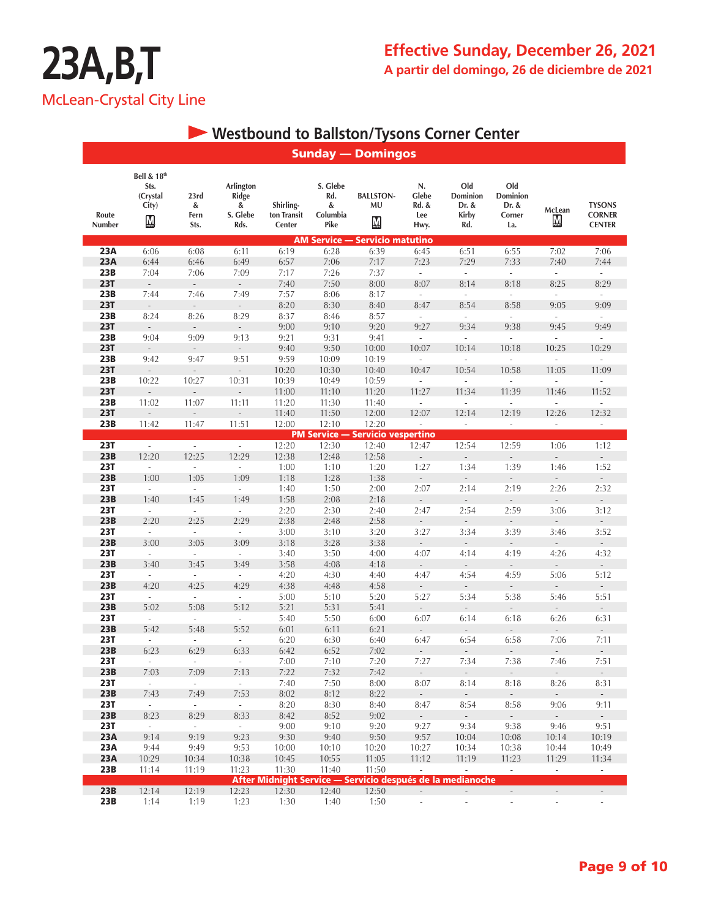**CORNER CENTER**

### **Westbound to Ballston/Tysons Corner Center**

#### Sunday — Domingos **Bell & 18th S. Glebe Old Sts. Arlington N. Old (Crystal 23rd Ridge Rd. BALLSTON-Glebe Dominion Dominion Shirling-McLean TYSONS City) & & MU Rd. & Dr. & Dr. & & S. Glebe Route Fern ton Transit Columbia Kirby Corner Lee**  ${\bf M}$  $M$ М **Number Sts. Rds. Center Pike Hwy. Rd. La.** AM Service — Servicio matutino **23A** 6:06 6:08 6:11 6:19 6:28 6:39 6:45 6:51 6:55 7:02 7:06 23A 6:44 6:46 6:49 6:57 7:06 7:17 7:23 7:29 7:33 7:40 7:44 **23B** 7:04 7:06 7:09 7:17 7:26 7:37 - - - - - -**23T** - - - - 7:40 7:50 8:00 8:07 8:14 8:18 8:25 8:29 **23B** 7:44 7:46 7:49 7:57 8:06 8:17 - - - - - - -**23T** - - - - 8:20 8:30 8:40 8:47 8:54 8:58 9:05 9:09 **23B** 8:24 8:26 8:29 8:37 8:46 8:57 - - - - - - -**23T** - - - - 9:00 9:10 9:20 9:27 9:34 9:38 9:45 9:49 **23B** 9:04 9:09 9:13 9:21 9:31 9:41 - - - - - - -**23T** - - - - 9:40 9:50 10:00 10:07 10:14 10:18 10:25 10:29 **23B** 9:42 9:47 9:51 9:59 10:09 10:19 - - - - - - -**23T** - - - - 10:20 10:30 10:40 10:47 10:54 10:58 11:05 11:09 **23B** 10:22 10:27 10:31 10:39 10:49 10:59 - - - - - - -**23T** - - - - - 11:00 11:10 11:20 11:27 11:34 11:39 11:46 11:52 **23B** 11:02 11:07 11:11 11:20 11:30 11:40 - - - - - - -**23T** - - - - 11:40 11:50 12:00 12:07 12:14 12:19 12:26 12:32 **23B** 11:42 11:47 11:51 12:00 12:10 12:20 - - - - - - -**PM Service — Servicio vespertino**<br>**23T** 23T 2:20 2:20 2:30 2:30 12:40 12:47 **23T** - - - - 12:20 12:30 12:40 12:47 12:54 12:59 1:06 1:12 **23B** 12:20 12:25 12:29 12:38 12:48 12:58 - - - - - - - -**23T** - - - - 1:00 1:10 1:20 1:27 1:34 1:39 1:46 1:52 **23B** 1:00 1:05 1:09 1:18 1:28 1:38 - - - - - - -**23T** - - - - 1:40 1:50 2:00 2:07 2:14 2:19 2:26 2:32 **23B** 1:40 1:45 1:49 1:58 2:08 2:18 - - - - - - - -**23T** - - - 2:20 2:30 2:40 2:47 2:54 2:59 3:06 3:12 **23B** 2:20 2:25 2:29 2:38 2:48 2:58 - - - - - - -**23T** - - - - 3:00 3:10 3:20 3:27 3:34 3:39 3:46 3:52 **23B** 3:00 3:05 3:09 3:18 3:28 3:38 - - - - - - - -**23T** - - - - 3:40 3:50 4:00 4:07 4:14 4:19 4:26 4:32 **23B** 3:40 3:45 3:49 3:58 4:08 4:18 - - - - - - - -**23T** - - - - 4:20 4:30 4:40 4:47 4:54 4:59 5:06 5:12 **23B** 4:20 4:25 4:29 4:38 4:48 4:58 - - - - - - -

| 23T        |       |       |       | 5:40                                                       | 5:50  | 6:00  | 6:07                     | 6:14                     | 6:18                         | 6:26                     | 6:31                     |
|------------|-------|-------|-------|------------------------------------------------------------|-------|-------|--------------------------|--------------------------|------------------------------|--------------------------|--------------------------|
| 23B        | 5:42  | 5:48  | 5:52  | 6:01                                                       | 6:11  | 6:21  | $\overline{\phantom{a}}$ | $\sim$                   | $\overline{\phantom{0}}$     |                          |                          |
| <b>23T</b> |       | ۰     |       | 6:20                                                       | 6:30  | 6:40  | 6:47                     | 6:54                     | 6:58                         | 7:06                     | 7:11                     |
| 23B        | 6:23  | 6:29  | 6:33  | 6:42                                                       | 6:52  | 7:02  | $\sim$                   | $\sim$                   | $\sim$                       |                          |                          |
| <b>23T</b> |       | ٠     |       | 7:00                                                       | 7:10  | 7:20  | 7:27                     | 7:34                     | 7:38                         | 7:46                     | 7:51                     |
| 23B        | 7:03  | 7:09  | 7:13  | 7:22                                                       | 7:32  | 7:42  | $\sim$                   | $\overline{\phantom{a}}$ | $\sim$                       | $\overline{\phantom{a}}$ | $\overline{\phantom{a}}$ |
| <b>23T</b> |       | ٠     |       | 7:40                                                       | 7:50  | 8:00  | 8:07                     | 8:14                     | 8:18                         | 8:26                     | 8:31                     |
| 23B        | 7:43  | 7:49  | 7:53  | 8:02                                                       | 8:12  | 8:22  | $\sim$                   | $\overline{\phantom{a}}$ | $\sim$                       | $\overline{\phantom{a}}$ | $\sim$                   |
| <b>23T</b> |       | ۰     |       | 8:20                                                       | 8:30  | 8:40  | 8:47                     | 8:54                     | 8:58                         | 9:06                     | 9:11                     |
| 23B        | 8:23  | 8:29  | 8:33  | 8:42                                                       | 8:52  | 9:02  | $\sim$                   | $\sim$                   | $\overline{\phantom{a}}$     | $\overline{\phantom{a}}$ |                          |
| 23T        |       | ٠     |       | 9:00                                                       | 9:10  | 9:20  | 9:27                     | 9:34                     | 9:38                         | 9:46                     | 9:51                     |
| 23A        | 9:14  | 9:19  | 9:23  | 9:30                                                       | 9:40  | 9:50  | 9:57                     | 10:04                    | 10:08                        | 10:14                    | 10:19                    |
| <b>23A</b> | 9:44  | 9:49  | 9:53  | 10:00                                                      | 10:10 | 10:20 | 10:27                    | 10:34                    | 10:38                        | 10:44                    | 10:49                    |
| 23A        | 10:29 | 10:34 | 10:38 | 10:45                                                      | 10:55 | 11:05 | 11:12                    | 11:19                    | 11:23                        | 11:29                    | 11:34                    |
| 23B        | 11:14 | 11:19 | 11:23 | 11:30                                                      | 11:40 | 11:50 |                          |                          | ٠                            |                          |                          |
|            |       |       |       | After Midnight Service — Servicio después de la medianoche |       |       |                          |                          |                              |                          |                          |
| 23B        | 12:14 | 12:19 | 12:23 | 12:30                                                      | 12:40 | 12:50 |                          |                          | $\qquad \qquad \blacksquare$ |                          |                          |
| 23B        | 1:14  | 1:19  | 1:23  | 1:30                                                       | 1:40  | 1:50  |                          |                          | ٠                            |                          |                          |

**23T** - - - - 5:00 5:10 5:20 5:27 5:34 5:38 5:46 5:51 **23B** 5:02 5:08 5:12 5:21 5:31 5:41 - - - - - - - - -